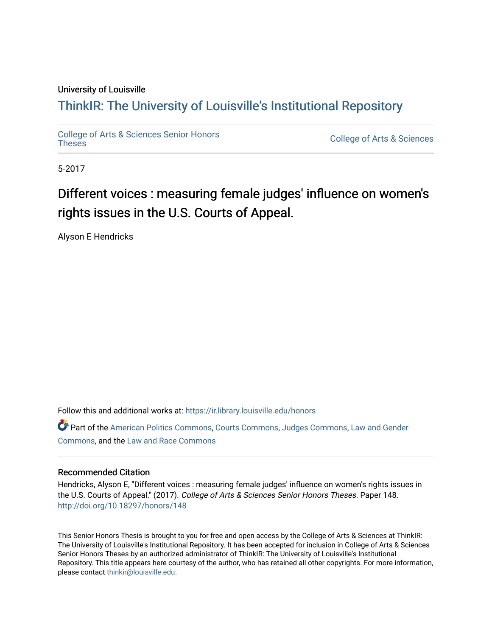### University of Louisville

# ThinkIR: The Univ[ersity of Louisville's Institutional Reposit](https://ir.library.louisville.edu/)ory

[College of Arts & Sciences Senior Honors](https://ir.library.louisville.edu/honors)

College of Arts & Sciences

5-2017

# Different voices : measuring female judges' influence on women's rights issues in the U.S. Courts of Appeal.

Alyson E Hendricks

Follow this and additional works at: [https://ir.library.louisville.edu/honors](https://ir.library.louisville.edu/honors?utm_source=ir.library.louisville.edu%2Fhonors%2F148&utm_medium=PDF&utm_campaign=PDFCoverPages)

Part of the [American Politics Commons,](http://network.bepress.com/hgg/discipline/387?utm_source=ir.library.louisville.edu%2Fhonors%2F148&utm_medium=PDF&utm_campaign=PDFCoverPages) [Courts Commons,](http://network.bepress.com/hgg/discipline/839?utm_source=ir.library.louisville.edu%2Fhonors%2F148&utm_medium=PDF&utm_campaign=PDFCoverPages) [Judges Commons](http://network.bepress.com/hgg/discipline/849?utm_source=ir.library.louisville.edu%2Fhonors%2F148&utm_medium=PDF&utm_campaign=PDFCoverPages), [Law and Gender](http://network.bepress.com/hgg/discipline/1298?utm_source=ir.library.louisville.edu%2Fhonors%2F148&utm_medium=PDF&utm_campaign=PDFCoverPages)  [Commons](http://network.bepress.com/hgg/discipline/1298?utm_source=ir.library.louisville.edu%2Fhonors%2F148&utm_medium=PDF&utm_campaign=PDFCoverPages), and the [Law and Race Commons](http://network.bepress.com/hgg/discipline/1300?utm_source=ir.library.louisville.edu%2Fhonors%2F148&utm_medium=PDF&utm_campaign=PDFCoverPages) 

#### Recommended Citation

Hendricks, Alyson E, "Different voices : measuring female judges' influence on women's rights issues in the U.S. Courts of Appeal." (2017). College of Arts & Sciences Senior Honors Theses. Paper 148. <http://doi.org/10.18297/honors/148>

This Senior Honors Thesis is brought to you for free and open access by the College of Arts & Sciences at ThinkIR: The University of Louisville's Institutional Repository. It has been accepted for inclusion in College of Arts & Sciences Senior Honors Theses by an authorized administrator of ThinkIR: The University of Louisville's Institutional Repository. This title appears here courtesy of the author, who has retained all other copyrights. For more information, please contact [thinkir@louisville.edu.](mailto:thinkir@louisville.edu)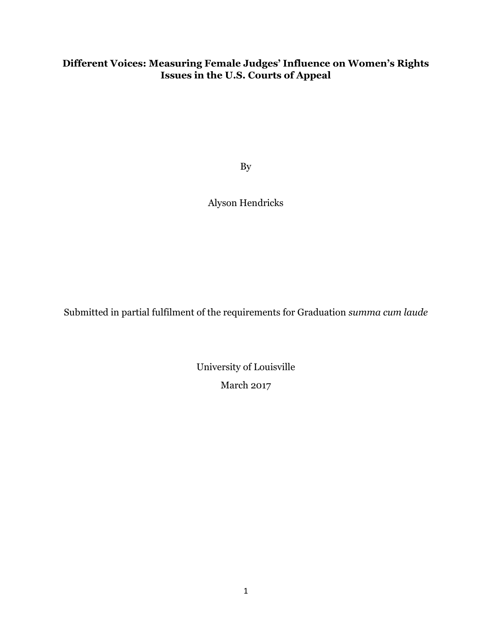# **Different Voices: Measuring Female Judges' Influence on Women's Rights Issues in the U.S. Courts of Appeal**

By

Alyson Hendricks

Submitted in partial fulfilment of the requirements for Graduation *summa cum laude*

University of Louisville March 2017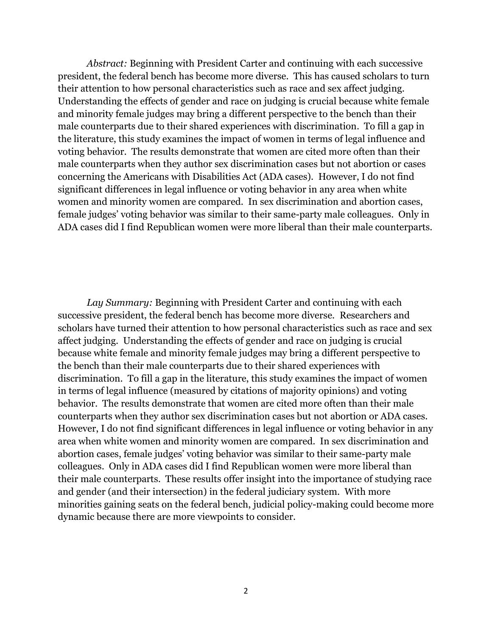*Abstract:* Beginning with President Carter and continuing with each successive president, the federal bench has become more diverse. This has caused scholars to turn their attention to how personal characteristics such as race and sex affect judging. Understanding the effects of gender and race on judging is crucial because white female and minority female judges may bring a different perspective to the bench than their male counterparts due to their shared experiences with discrimination. To fill a gap in the literature, this study examines the impact of women in terms of legal influence and voting behavior. The results demonstrate that women are cited more often than their male counterparts when they author sex discrimination cases but not abortion or cases concerning the Americans with Disabilities Act (ADA cases). However, I do not find significant differences in legal influence or voting behavior in any area when white women and minority women are compared. In sex discrimination and abortion cases, female judges' voting behavior was similar to their same-party male colleagues. Only in ADA cases did I find Republican women were more liberal than their male counterparts.

*Lay Summary:* Beginning with President Carter and continuing with each successive president, the federal bench has become more diverse. Researchers and scholars have turned their attention to how personal characteristics such as race and sex affect judging. Understanding the effects of gender and race on judging is crucial because white female and minority female judges may bring a different perspective to the bench than their male counterparts due to their shared experiences with discrimination. To fill a gap in the literature, this study examines the impact of women in terms of legal influence (measured by citations of majority opinions) and voting behavior. The results demonstrate that women are cited more often than their male counterparts when they author sex discrimination cases but not abortion or ADA cases. However, I do not find significant differences in legal influence or voting behavior in any area when white women and minority women are compared. In sex discrimination and abortion cases, female judges' voting behavior was similar to their same-party male colleagues. Only in ADA cases did I find Republican women were more liberal than their male counterparts. These results offer insight into the importance of studying race and gender (and their intersection) in the federal judiciary system. With more minorities gaining seats on the federal bench, judicial policy-making could become more dynamic because there are more viewpoints to consider.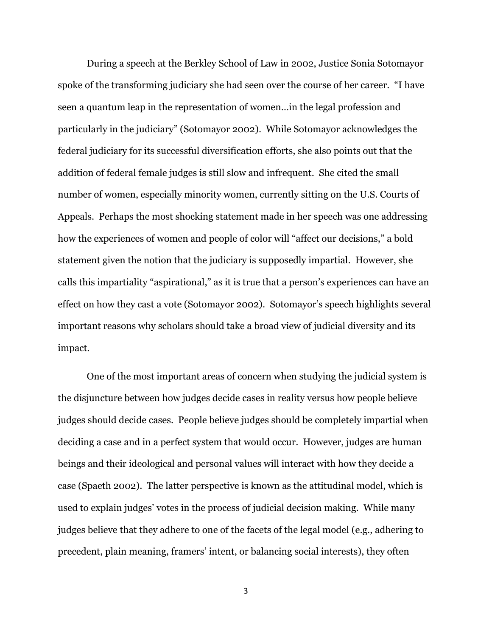During a speech at the Berkley School of Law in 2002, Justice Sonia Sotomayor spoke of the transforming judiciary she had seen over the course of her career. "I have seen a quantum leap in the representation of women…in the legal profession and particularly in the judiciary" (Sotomayor 2002). While Sotomayor acknowledges the federal judiciary for its successful diversification efforts, she also points out that the addition of federal female judges is still slow and infrequent. She cited the small number of women, especially minority women, currently sitting on the U.S. Courts of Appeals. Perhaps the most shocking statement made in her speech was one addressing how the experiences of women and people of color will "affect our decisions," a bold statement given the notion that the judiciary is supposedly impartial. However, she calls this impartiality "aspirational," as it is true that a person's experiences can have an effect on how they cast a vote (Sotomayor 2002). Sotomayor's speech highlights several important reasons why scholars should take a broad view of judicial diversity and its impact.

One of the most important areas of concern when studying the judicial system is the disjuncture between how judges decide cases in reality versus how people believe judges should decide cases. People believe judges should be completely impartial when deciding a case and in a perfect system that would occur. However, judges are human beings and their ideological and personal values will interact with how they decide a case (Spaeth 2002). The latter perspective is known as the attitudinal model, which is used to explain judges' votes in the process of judicial decision making. While many judges believe that they adhere to one of the facets of the legal model (e.g., adhering to precedent, plain meaning, framers' intent, or balancing social interests), they often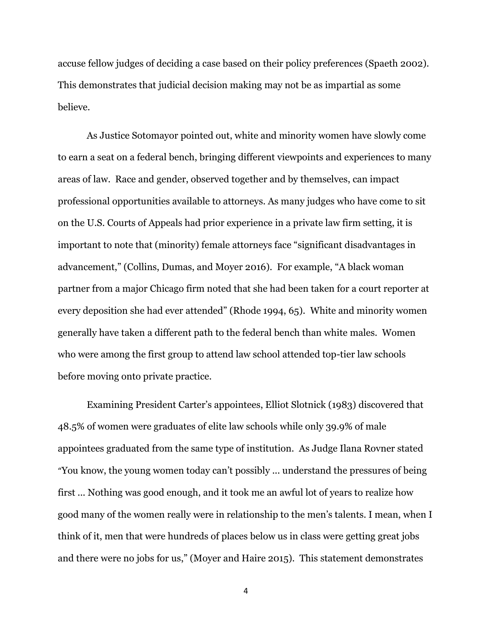accuse fellow judges of deciding a case based on their policy preferences (Spaeth 2002). This demonstrates that judicial decision making may not be as impartial as some believe.

As Justice Sotomayor pointed out, white and minority women have slowly come to earn a seat on a federal bench, bringing different viewpoints and experiences to many areas of law. Race and gender, observed together and by themselves, can impact professional opportunities available to attorneys. As many judges who have come to sit on the U.S. Courts of Appeals had prior experience in a private law firm setting, it is important to note that (minority) female attorneys face "significant disadvantages in advancement," (Collins, Dumas, and Moyer 2016). For example, "A black woman partner from a major Chicago firm noted that she had been taken for a court reporter at every deposition she had ever attended" (Rhode 1994, 65). White and minority women generally have taken a different path to the federal bench than white males. Women who were among the first group to attend law school attended top-tier law schools before moving onto private practice.

Examining President Carter's appointees, Elliot Slotnick (1983) discovered that 48.5% of women were graduates of elite law schools while only 39.9% of male appointees graduated from the same type of institution. As Judge Ilana Rovner stated "You know, the young women today can't possibly ... understand the pressures of being first ... Nothing was good enough, and it took me an awful lot of years to realize how good many of the women really were in relationship to the men's talents. I mean, when I think of it, men that were hundreds of places below us in class were getting great jobs and there were no jobs for us," (Moyer and Haire 2015). This statement demonstrates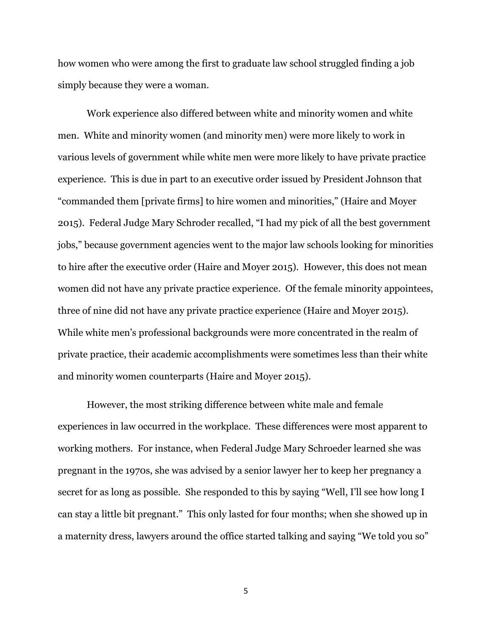how women who were among the first to graduate law school struggled finding a job simply because they were a woman.

Work experience also differed between white and minority women and white men. White and minority women (and minority men) were more likely to work in various levels of government while white men were more likely to have private practice experience. This is due in part to an executive order issued by President Johnson that "commanded them [private firms] to hire women and minorities," (Haire and Moyer 2015). Federal Judge Mary Schroder recalled, "I had my pick of all the best government jobs," because government agencies went to the major law schools looking for minorities to hire after the executive order (Haire and Moyer 2015). However, this does not mean women did not have any private practice experience. Of the female minority appointees, three of nine did not have any private practice experience (Haire and Moyer 2015). While white men's professional backgrounds were more concentrated in the realm of private practice, their academic accomplishments were sometimes less than their white and minority women counterparts (Haire and Moyer 2015).

However, the most striking difference between white male and female experiences in law occurred in the workplace. These differences were most apparent to working mothers. For instance, when Federal Judge Mary Schroeder learned she was pregnant in the 1970s, she was advised by a senior lawyer her to keep her pregnancy a secret for as long as possible. She responded to this by saying "Well, I'll see how long I can stay a little bit pregnant." This only lasted for four months; when she showed up in a maternity dress, lawyers around the office started talking and saying "We told you so"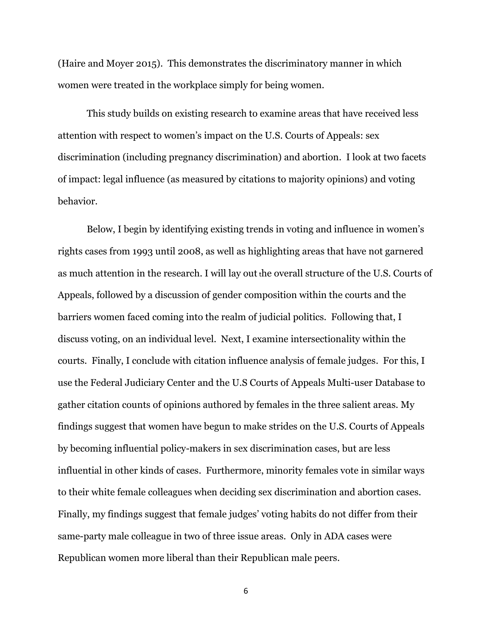(Haire and Moyer 2015). This demonstrates the discriminatory manner in which women were treated in the workplace simply for being women.

This study builds on existing research to examine areas that have received less attention with respect to women's impact on the U.S. Courts of Appeals: sex discrimination (including pregnancy discrimination) and abortion. I look at two facets of impact: legal influence (as measured by citations to majority opinions) and voting behavior.

Below, I begin by identifying existing trends in voting and influence in women's rights cases from 1993 until 2008, as well as highlighting areas that have not garnered as much attention in the research. I will lay out the overall structure of the U.S. Courts of Appeals, followed by a discussion of gender composition within the courts and the barriers women faced coming into the realm of judicial politics. Following that, I discuss voting, on an individual level. Next, I examine intersectionality within the courts. Finally, I conclude with citation influence analysis of female judges. For this, I use the Federal Judiciary Center and the U.S Courts of Appeals Multi-user Database to gather citation counts of opinions authored by females in the three salient areas. My findings suggest that women have begun to make strides on the U.S. Courts of Appeals by becoming influential policy-makers in sex discrimination cases, but are less influential in other kinds of cases. Furthermore, minority females vote in similar ways to their white female colleagues when deciding sex discrimination and abortion cases. Finally, my findings suggest that female judges' voting habits do not differ from their same-party male colleague in two of three issue areas. Only in ADA cases were Republican women more liberal than their Republican male peers.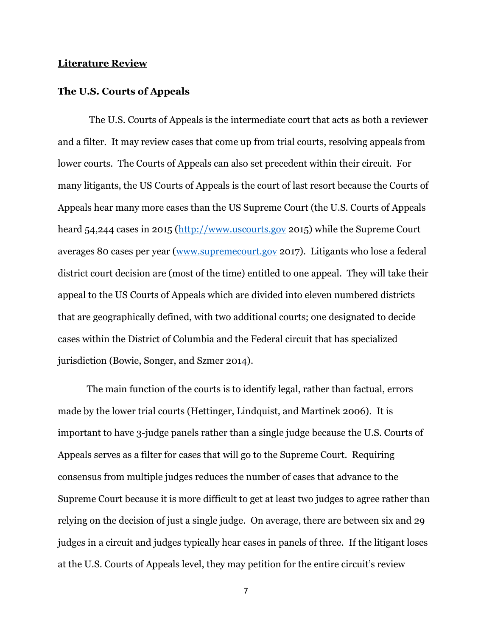# **Literature Review**

#### **The U.S. Courts of Appeals**

The U.S. Courts of Appeals is the intermediate court that acts as both a reviewer and a filter. It may review cases that come up from trial courts, resolving appeals from lower courts. The Courts of Appeals can also set precedent within their circuit. For many litigants, the US Courts of Appeals is the court of last resort because the Courts of Appeals hear many more cases than the US Supreme Court (the U.S. Courts of Appeals heard 54,244 cases in 2015 [\(http://www.uscourts.gov](http://www.uscourts.gov/) 2015) while the Supreme Court averages 80 cases per year [\(www.supremecourt.gov](http://www.supremecourt.gov/) 2017). Litigants who lose a federal district court decision are (most of the time) entitled to one appeal. They will take their appeal to the US Courts of Appeals which are divided into eleven numbered districts that are geographically defined, with two additional courts; one designated to decide cases within the District of Columbia and the Federal circuit that has specialized jurisdiction (Bowie, Songer, and Szmer 2014).

The main function of the courts is to identify legal, rather than factual, errors made by the lower trial courts (Hettinger, Lindquist, and Martinek 2006). It is important to have 3-judge panels rather than a single judge because the U.S. Courts of Appeals serves as a filter for cases that will go to the Supreme Court. Requiring consensus from multiple judges reduces the number of cases that advance to the Supreme Court because it is more difficult to get at least two judges to agree rather than relying on the decision of just a single judge. On average, there are between six and 29 judges in a circuit and judges typically hear cases in panels of three. If the litigant loses at the U.S. Courts of Appeals level, they may petition for the entire circuit's review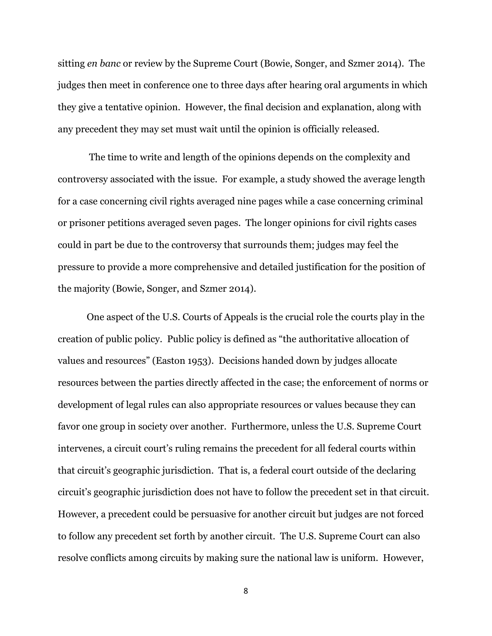sitting *en banc* or review by the Supreme Court (Bowie, Songer, and Szmer 2014). The judges then meet in conference one to three days after hearing oral arguments in which they give a tentative opinion. However, the final decision and explanation, along with any precedent they may set must wait until the opinion is officially released.

The time to write and length of the opinions depends on the complexity and controversy associated with the issue. For example, a study showed the average length for a case concerning civil rights averaged nine pages while a case concerning criminal or prisoner petitions averaged seven pages. The longer opinions for civil rights cases could in part be due to the controversy that surrounds them; judges may feel the pressure to provide a more comprehensive and detailed justification for the position of the majority (Bowie, Songer, and Szmer 2014).

One aspect of the U.S. Courts of Appeals is the crucial role the courts play in the creation of public policy. Public policy is defined as "the authoritative allocation of values and resources" (Easton 1953). Decisions handed down by judges allocate resources between the parties directly affected in the case; the enforcement of norms or development of legal rules can also appropriate resources or values because they can favor one group in society over another. Furthermore, unless the U.S. Supreme Court intervenes, a circuit court's ruling remains the precedent for all federal courts within that circuit's geographic jurisdiction. That is, a federal court outside of the declaring circuit's geographic jurisdiction does not have to follow the precedent set in that circuit. However, a precedent could be persuasive for another circuit but judges are not forced to follow any precedent set forth by another circuit. The U.S. Supreme Court can also resolve conflicts among circuits by making sure the national law is uniform. However,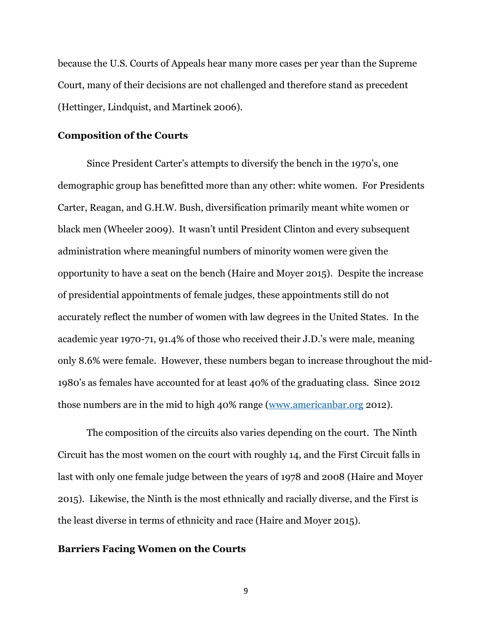because the U.S. Courts of Appeals hear many more cases per year than the Supreme Court, many of their decisions are not challenged and therefore stand as precedent (Hettinger, Lindquist, and Martinek 2006).

#### **Composition of the Courts**

Since President Carter's attempts to diversify the bench in the 1970's, one demographic group has benefitted more than any other: white women. For Presidents Carter, Reagan, and G.H.W. Bush, diversification primarily meant white women or black men (Wheeler 2009). It wasn't until President Clinton and every subsequent administration where meaningful numbers of minority women were given the opportunity to have a seat on the bench (Haire and Moyer 2015). Despite the increase of presidential appointments of female judges, these appointments still do not accurately reflect the number of women with law degrees in the United States. In the academic year 1970-71, 91.4% of those who received their J.D.'s were male, meaning only 8.6% were female. However, these numbers began to increase throughout the mid-1980's as females have accounted for at least 40% of the graduating class. Since 2012 those numbers are in the mid to high 40% range [\(www.americanbar.org](http://www.americanbar.org/) 2012).

The composition of the circuits also varies depending on the court. The Ninth Circuit has the most women on the court with roughly 14, and the First Circuit falls in last with only one female judge between the years of 1978 and 2008 (Haire and Moyer 2015). Likewise, the Ninth is the most ethnically and racially diverse, and the First is the least diverse in terms of ethnicity and race (Haire and Moyer 2015).

# **Barriers Facing Women on the Courts**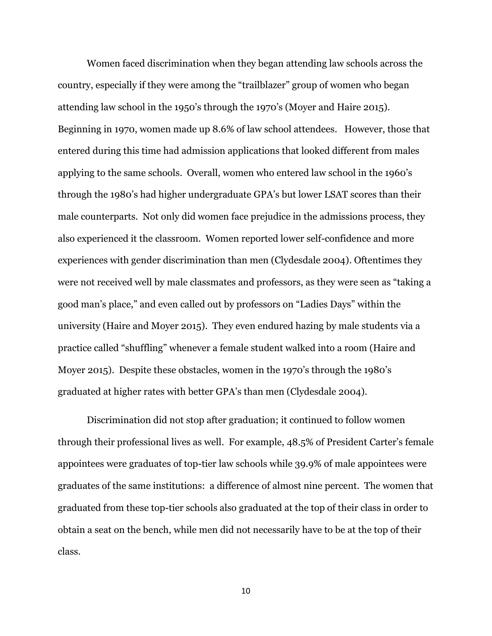Women faced discrimination when they began attending law schools across the country, especially if they were among the "trailblazer" group of women who began attending law school in the 1950's through the 1970's (Moyer and Haire 2015). Beginning in 1970, women made up 8.6% of law school attendees. However, those that entered during this time had admission applications that looked different from males applying to the same schools. Overall, women who entered law school in the 1960's through the 1980's had higher undergraduate GPA's but lower LSAT scores than their male counterparts. Not only did women face prejudice in the admissions process, they also experienced it the classroom. Women reported lower self-confidence and more experiences with gender discrimination than men (Clydesdale 2004). Oftentimes they were not received well by male classmates and professors, as they were seen as "taking a good man's place," and even called out by professors on "Ladies Days" within the university (Haire and Moyer 2015). They even endured hazing by male students via a practice called "shuffling" whenever a female student walked into a room (Haire and Moyer 2015). Despite these obstacles, women in the 1970's through the 1980's graduated at higher rates with better GPA's than men (Clydesdale 2004).

Discrimination did not stop after graduation; it continued to follow women through their professional lives as well. For example, 48.5% of President Carter's female appointees were graduates of top-tier law schools while 39.9% of male appointees were graduates of the same institutions: a difference of almost nine percent. The women that graduated from these top-tier schools also graduated at the top of their class in order to obtain a seat on the bench, while men did not necessarily have to be at the top of their class.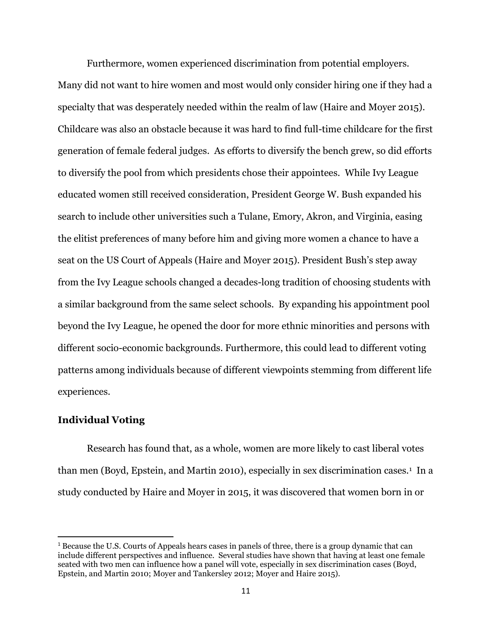Furthermore, women experienced discrimination from potential employers. Many did not want to hire women and most would only consider hiring one if they had a specialty that was desperately needed within the realm of law (Haire and Moyer 2015). Childcare was also an obstacle because it was hard to find full-time childcare for the first generation of female federal judges. As efforts to diversify the bench grew, so did efforts to diversify the pool from which presidents chose their appointees. While Ivy League educated women still received consideration, President George W. Bush expanded his search to include other universities such a Tulane, Emory, Akron, and Virginia, easing the elitist preferences of many before him and giving more women a chance to have a seat on the US Court of Appeals (Haire and Moyer 2015). President Bush's step away from the Ivy League schools changed a decades-long tradition of choosing students with a similar background from the same select schools. By expanding his appointment pool beyond the Ivy League, he opened the door for more ethnic minorities and persons with different socio-economic backgrounds. Furthermore, this could lead to different voting patterns among individuals because of different viewpoints stemming from different life experiences.

### **Individual Voting**

 $\overline{a}$ 

Research has found that, as a whole, women are more likely to cast liberal votes than men (Boyd, Epstein, and Martin 2010), especially in sex discrimination cases.<sup>1</sup> In a study conducted by Haire and Moyer in 2015, it was discovered that women born in or

<sup>1</sup> Because the U.S. Courts of Appeals hears cases in panels of three, there is a group dynamic that can include different perspectives and influence. Several studies have shown that having at least one female seated with two men can influence how a panel will vote, especially in sex discrimination cases (Boyd, Epstein, and Martin 2010; Moyer and Tankersley 2012; Moyer and Haire 2015).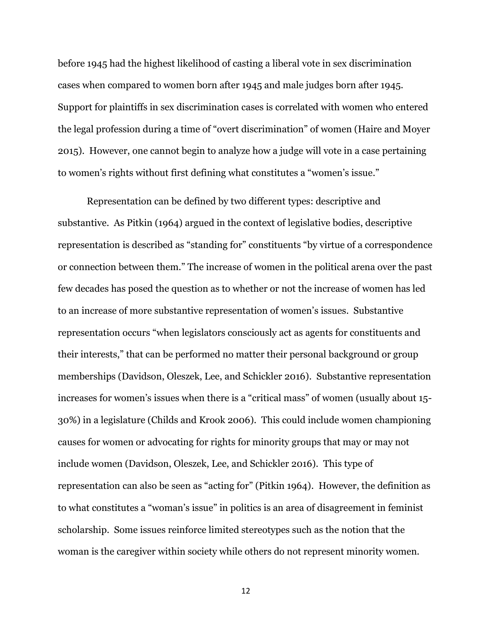before 1945 had the highest likelihood of casting a liberal vote in sex discrimination cases when compared to women born after 1945 and male judges born after 1945. Support for plaintiffs in sex discrimination cases is correlated with women who entered the legal profession during a time of "overt discrimination" of women (Haire and Moyer 2015). However, one cannot begin to analyze how a judge will vote in a case pertaining to women's rights without first defining what constitutes a "women's issue."

Representation can be defined by two different types: descriptive and substantive. As Pitkin (1964) argued in the context of legislative bodies, descriptive representation is described as "standing for" constituents "by virtue of a correspondence or connection between them." The increase of women in the political arena over the past few decades has posed the question as to whether or not the increase of women has led to an increase of more substantive representation of women's issues. Substantive representation occurs "when legislators consciously act as agents for constituents and their interests," that can be performed no matter their personal background or group memberships (Davidson, Oleszek, Lee, and Schickler 2016). Substantive representation increases for women's issues when there is a "critical mass" of women (usually about 15- 30%) in a legislature (Childs and Krook 2006). This could include women championing causes for women or advocating for rights for minority groups that may or may not include women (Davidson, Oleszek, Lee, and Schickler 2016). This type of representation can also be seen as "acting for" (Pitkin 1964). However, the definition as to what constitutes a "woman's issue" in politics is an area of disagreement in feminist scholarship. Some issues reinforce limited stereotypes such as the notion that the woman is the caregiver within society while others do not represent minority women.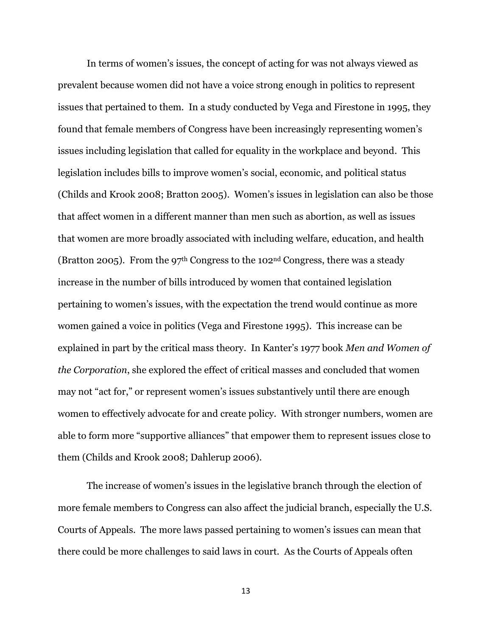In terms of women's issues, the concept of acting for was not always viewed as prevalent because women did not have a voice strong enough in politics to represent issues that pertained to them. In a study conducted by Vega and Firestone in 1995, they found that female members of Congress have been increasingly representing women's issues including legislation that called for equality in the workplace and beyond. This legislation includes bills to improve women's social, economic, and political status (Childs and Krook 2008; Bratton 2005). Women's issues in legislation can also be those that affect women in a different manner than men such as abortion, as well as issues that women are more broadly associated with including welfare, education, and health (Bratton 2005). From the 97<sup>th</sup> Congress to the 102<sup>nd</sup> Congress, there was a steady increase in the number of bills introduced by women that contained legislation pertaining to women's issues, with the expectation the trend would continue as more women gained a voice in politics (Vega and Firestone 1995). This increase can be explained in part by the critical mass theory. In Kanter's 1977 book *Men and Women of the Corporation*, she explored the effect of critical masses and concluded that women may not "act for," or represent women's issues substantively until there are enough women to effectively advocate for and create policy. With stronger numbers, women are able to form more "supportive alliances" that empower them to represent issues close to them (Childs and Krook 2008; Dahlerup 2006).

The increase of women's issues in the legislative branch through the election of more female members to Congress can also affect the judicial branch, especially the U.S. Courts of Appeals. The more laws passed pertaining to women's issues can mean that there could be more challenges to said laws in court. As the Courts of Appeals often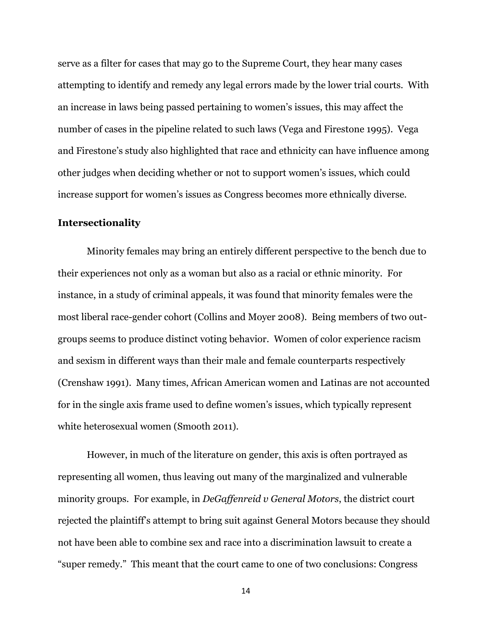serve as a filter for cases that may go to the Supreme Court, they hear many cases attempting to identify and remedy any legal errors made by the lower trial courts. With an increase in laws being passed pertaining to women's issues, this may affect the number of cases in the pipeline related to such laws (Vega and Firestone 1995). Vega and Firestone's study also highlighted that race and ethnicity can have influence among other judges when deciding whether or not to support women's issues, which could increase support for women's issues as Congress becomes more ethnically diverse.

### **Intersectionality**

Minority females may bring an entirely different perspective to the bench due to their experiences not only as a woman but also as a racial or ethnic minority. For instance, in a study of criminal appeals, it was found that minority females were the most liberal race-gender cohort (Collins and Moyer 2008). Being members of two outgroups seems to produce distinct voting behavior. Women of color experience racism and sexism in different ways than their male and female counterparts respectively (Crenshaw 1991). Many times, African American women and Latinas are not accounted for in the single axis frame used to define women's issues, which typically represent white heterosexual women (Smooth 2011).

However, in much of the literature on gender, this axis is often portrayed as representing all women, thus leaving out many of the marginalized and vulnerable minority groups. For example, in *DeGaffenreid v General Motors*, the district court rejected the plaintiff's attempt to bring suit against General Motors because they should not have been able to combine sex and race into a discrimination lawsuit to create a "super remedy." This meant that the court came to one of two conclusions: Congress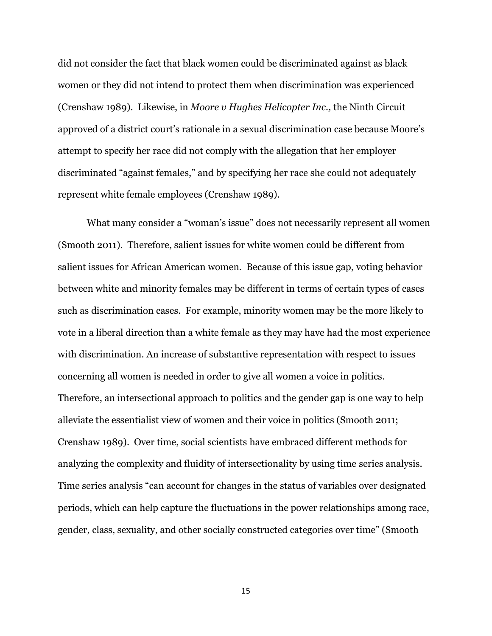did not consider the fact that black women could be discriminated against as black women or they did not intend to protect them when discrimination was experienced (Crenshaw 1989). Likewise, in *Moore v Hughes Helicopter Inc.,* the Ninth Circuit approved of a district court's rationale in a sexual discrimination case because Moore's attempt to specify her race did not comply with the allegation that her employer discriminated "against females," and by specifying her race she could not adequately represent white female employees (Crenshaw 1989).

What many consider a "woman's issue" does not necessarily represent all women (Smooth 2011). Therefore, salient issues for white women could be different from salient issues for African American women. Because of this issue gap, voting behavior between white and minority females may be different in terms of certain types of cases such as discrimination cases. For example, minority women may be the more likely to vote in a liberal direction than a white female as they may have had the most experience with discrimination. An increase of substantive representation with respect to issues concerning all women is needed in order to give all women a voice in politics. Therefore, an intersectional approach to politics and the gender gap is one way to help alleviate the essentialist view of women and their voice in politics (Smooth 2011; Crenshaw 1989). Over time, social scientists have embraced different methods for analyzing the complexity and fluidity of intersectionality by using time series analysis. Time series analysis "can account for changes in the status of variables over designated periods, which can help capture the fluctuations in the power relationships among race, gender, class, sexuality, and other socially constructed categories over time" (Smooth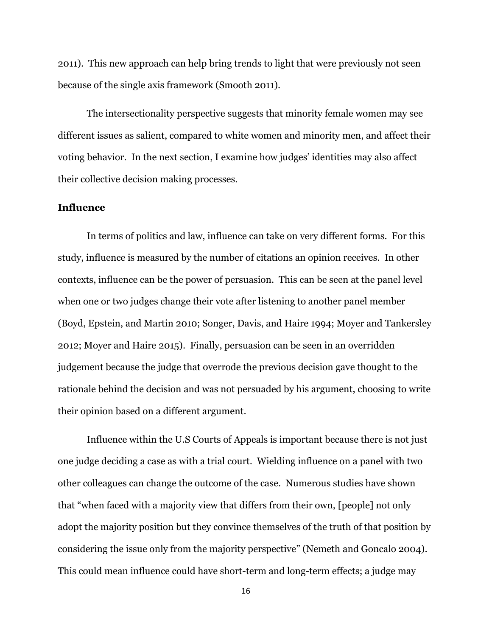2011). This new approach can help bring trends to light that were previously not seen because of the single axis framework (Smooth 2011).

The intersectionality perspective suggests that minority female women may see different issues as salient, compared to white women and minority men, and affect their voting behavior. In the next section, I examine how judges' identities may also affect their collective decision making processes.

### **Influence**

In terms of politics and law, influence can take on very different forms. For this study, influence is measured by the number of citations an opinion receives. In other contexts, influence can be the power of persuasion. This can be seen at the panel level when one or two judges change their vote after listening to another panel member (Boyd, Epstein, and Martin 2010; Songer, Davis, and Haire 1994; Moyer and Tankersley 2012; Moyer and Haire 2015). Finally, persuasion can be seen in an overridden judgement because the judge that overrode the previous decision gave thought to the rationale behind the decision and was not persuaded by his argument, choosing to write their opinion based on a different argument.

Influence within the U.S Courts of Appeals is important because there is not just one judge deciding a case as with a trial court. Wielding influence on a panel with two other colleagues can change the outcome of the case. Numerous studies have shown that "when faced with a majority view that differs from their own, [people] not only adopt the majority position but they convince themselves of the truth of that position by considering the issue only from the majority perspective" (Nemeth and Goncalo 2004). This could mean influence could have short-term and long-term effects; a judge may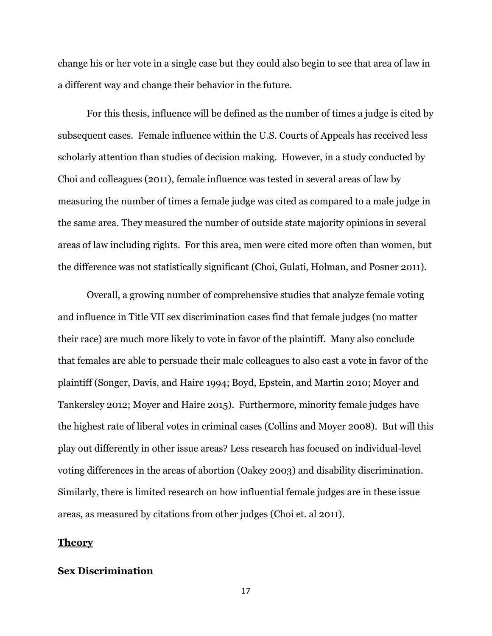change his or her vote in a single case but they could also begin to see that area of law in a different way and change their behavior in the future.

For this thesis, influence will be defined as the number of times a judge is cited by subsequent cases. Female influence within the U.S. Courts of Appeals has received less scholarly attention than studies of decision making. However, in a study conducted by Choi and colleagues (2011), female influence was tested in several areas of law by measuring the number of times a female judge was cited as compared to a male judge in the same area. They measured the number of outside state majority opinions in several areas of law including rights. For this area, men were cited more often than women, but the difference was not statistically significant (Choi, Gulati, Holman, and Posner 2011).

Overall, a growing number of comprehensive studies that analyze female voting and influence in Title VII sex discrimination cases find that female judges (no matter their race) are much more likely to vote in favor of the plaintiff. Many also conclude that females are able to persuade their male colleagues to also cast a vote in favor of the plaintiff (Songer, Davis, and Haire 1994; Boyd, Epstein, and Martin 2010; Moyer and Tankersley 2012; Moyer and Haire 2015). Furthermore, minority female judges have the highest rate of liberal votes in criminal cases (Collins and Moyer 2008). But will this play out differently in other issue areas? Less research has focused on individual-level voting differences in the areas of abortion (Oakey 2003) and disability discrimination. Similarly, there is limited research on how influential female judges are in these issue areas, as measured by citations from other judges (Choi et. al 2011).

#### **Theory**

# **Sex Discrimination**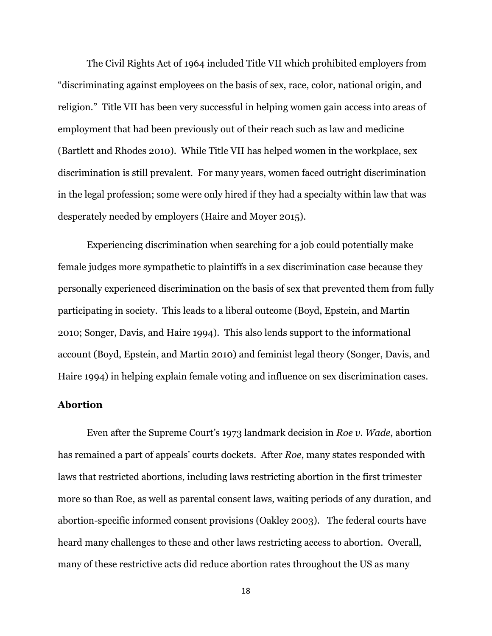The Civil Rights Act of 1964 included Title VII which prohibited employers from "discriminating against employees on the basis of sex, race, color, national origin, and religion." Title VII has been very successful in helping women gain access into areas of employment that had been previously out of their reach such as law and medicine (Bartlett and Rhodes 2010). While Title VII has helped women in the workplace, sex discrimination is still prevalent. For many years, women faced outright discrimination in the legal profession; some were only hired if they had a specialty within law that was desperately needed by employers (Haire and Moyer 2015).

Experiencing discrimination when searching for a job could potentially make female judges more sympathetic to plaintiffs in a sex discrimination case because they personally experienced discrimination on the basis of sex that prevented them from fully participating in society. This leads to a liberal outcome (Boyd, Epstein, and Martin 2010; Songer, Davis, and Haire 1994). This also lends support to the informational account (Boyd, Epstein, and Martin 2010) and feminist legal theory (Songer, Davis, and Haire 1994) in helping explain female voting and influence on sex discrimination cases.

## **Abortion**

Even after the Supreme Court's 1973 landmark decision in *Roe v. Wade*, abortion has remained a part of appeals' courts dockets. After *Roe*, many states responded with laws that restricted abortions, including laws restricting abortion in the first trimester more so than Roe, as well as parental consent laws, waiting periods of any duration, and abortion-specific informed consent provisions (Oakley 2003). The federal courts have heard many challenges to these and other laws restricting access to abortion. Overall, many of these restrictive acts did reduce abortion rates throughout the US as many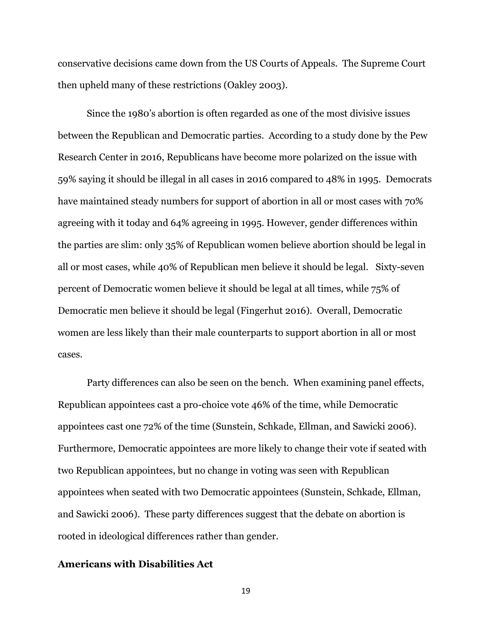conservative decisions came down from the US Courts of Appeals. The Supreme Court then upheld many of these restrictions (Oakley 2003).

Since the 1980's abortion is often regarded as one of the most divisive issues between the Republican and Democratic parties. According to a study done by the Pew Research Center in 2016, Republicans have become more polarized on the issue with 59% saying it should be illegal in all cases in 2016 compared to 48% in 1995. Democrats have maintained steady numbers for support of abortion in all or most cases with 70% agreeing with it today and 64% agreeing in 1995. However, gender differences within the parties are slim: only 35% of Republican women believe abortion should be legal in all or most cases, while 40% of Republican men believe it should be legal. Sixty-seven percent of Democratic women believe it should be legal at all times, while 75% of Democratic men believe it should be legal (Fingerhut 2016). Overall, Democratic women are less likely than their male counterparts to support abortion in all or most cases.

Party differences can also be seen on the bench. When examining panel effects, Republican appointees cast a pro-choice vote 46% of the time, while Democratic appointees cast one 72% of the time (Sunstein, Schkade, Ellman, and Sawicki 2006). Furthermore, Democratic appointees are more likely to change their vote if seated with two Republican appointees, but no change in voting was seen with Republican appointees when seated with two Democratic appointees (Sunstein, Schkade, Ellman, and Sawicki 2006). These party differences suggest that the debate on abortion is rooted in ideological differences rather than gender.

## **Americans with Disabilities Act**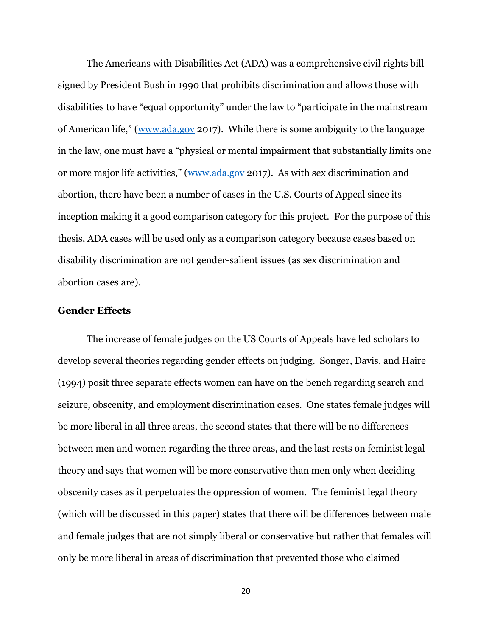The Americans with Disabilities Act (ADA) was a comprehensive civil rights bill signed by President Bush in 1990 that prohibits discrimination and allows those with disabilities to have "equal opportunity" under the law to "participate in the mainstream of American life," ([www.ada.gov](http://www.ada.gov/) 2017). While there is some ambiguity to the language in the law, one must have a "physical or mental impairment that substantially limits one or more major life activities," [\(www.ada.gov](http://www.ada.gov/) 2017). As with sex discrimination and abortion, there have been a number of cases in the U.S. Courts of Appeal since its inception making it a good comparison category for this project. For the purpose of this thesis, ADA cases will be used only as a comparison category because cases based on disability discrimination are not gender-salient issues (as sex discrimination and abortion cases are).

### **Gender Effects**

The increase of female judges on the US Courts of Appeals have led scholars to develop several theories regarding gender effects on judging. Songer, Davis, and Haire (1994) posit three separate effects women can have on the bench regarding search and seizure, obscenity, and employment discrimination cases. One states female judges will be more liberal in all three areas, the second states that there will be no differences between men and women regarding the three areas, and the last rests on feminist legal theory and says that women will be more conservative than men only when deciding obscenity cases as it perpetuates the oppression of women. The feminist legal theory (which will be discussed in this paper) states that there will be differences between male and female judges that are not simply liberal or conservative but rather that females will only be more liberal in areas of discrimination that prevented those who claimed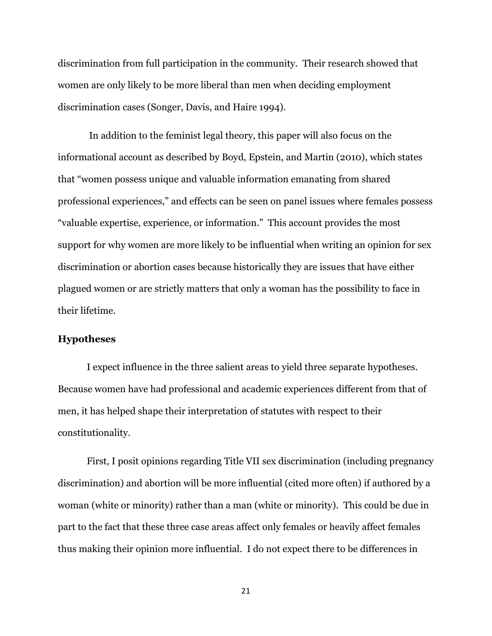discrimination from full participation in the community. Their research showed that women are only likely to be more liberal than men when deciding employment discrimination cases (Songer, Davis, and Haire 1994).

In addition to the feminist legal theory, this paper will also focus on the informational account as described by Boyd, Epstein, and Martin (2010), which states that "women possess unique and valuable information emanating from shared professional experiences," and effects can be seen on panel issues where females possess "valuable expertise, experience, or information." This account provides the most support for why women are more likely to be influential when writing an opinion for sex discrimination or abortion cases because historically they are issues that have either plagued women or are strictly matters that only a woman has the possibility to face in their lifetime.

#### **Hypotheses**

I expect influence in the three salient areas to yield three separate hypotheses. Because women have had professional and academic experiences different from that of men, it has helped shape their interpretation of statutes with respect to their constitutionality.

First, I posit opinions regarding Title VII sex discrimination (including pregnancy discrimination) and abortion will be more influential (cited more often) if authored by a woman (white or minority) rather than a man (white or minority). This could be due in part to the fact that these three case areas affect only females or heavily affect females thus making their opinion more influential. I do not expect there to be differences in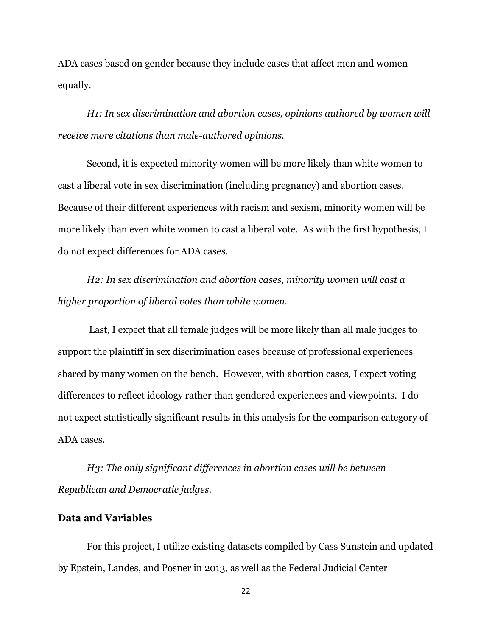ADA cases based on gender because they include cases that affect men and women equally.

*H1: In sex discrimination and abortion cases, opinions authored by women will receive more citations than male-authored opinions.*

Second, it is expected minority women will be more likely than white women to cast a liberal vote in sex discrimination (including pregnancy) and abortion cases. Because of their different experiences with racism and sexism, minority women will be more likely than even white women to cast a liberal vote. As with the first hypothesis, I do not expect differences for ADA cases.

*H2: In sex discrimination and abortion cases, minority women will cast a higher proportion of liberal votes than white women.*

Last, I expect that all female judges will be more likely than all male judges to support the plaintiff in sex discrimination cases because of professional experiences shared by many women on the bench. However, with abortion cases, I expect voting differences to reflect ideology rather than gendered experiences and viewpoints. I do not expect statistically significant results in this analysis for the comparison category of ADA cases.

*H3: The only significant differences in abortion cases will be between Republican and Democratic judges.*

# **Data and Variables**

For this project, I utilize existing datasets compiled by Cass Sunstein and updated by Epstein, Landes, and Posner in 2013, as well as the Federal Judicial Center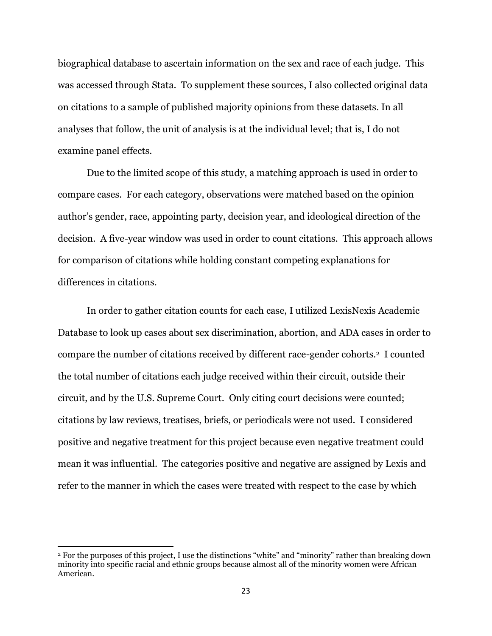biographical database to ascertain information on the sex and race of each judge. This was accessed through Stata. To supplement these sources, I also collected original data on citations to a sample of published majority opinions from these datasets. In all analyses that follow, the unit of analysis is at the individual level; that is, I do not examine panel effects.

Due to the limited scope of this study, a matching approach is used in order to compare cases. For each category, observations were matched based on the opinion author's gender, race, appointing party, decision year, and ideological direction of the decision. A five-year window was used in order to count citations. This approach allows for comparison of citations while holding constant competing explanations for differences in citations.

In order to gather citation counts for each case, I utilized LexisNexis Academic Database to look up cases about sex discrimination, abortion, and ADA cases in order to compare the number of citations received by different race-gender cohorts.2 I counted the total number of citations each judge received within their circuit, outside their circuit, and by the U.S. Supreme Court. Only citing court decisions were counted; citations by law reviews, treatises, briefs, or periodicals were not used. I considered positive and negative treatment for this project because even negative treatment could mean it was influential. The categories positive and negative are assigned by Lexis and refer to the manner in which the cases were treated with respect to the case by which

 $\overline{\phantom{a}}$ 

<sup>2</sup> For the purposes of this project, I use the distinctions "white" and "minority" rather than breaking down minority into specific racial and ethnic groups because almost all of the minority women were African American.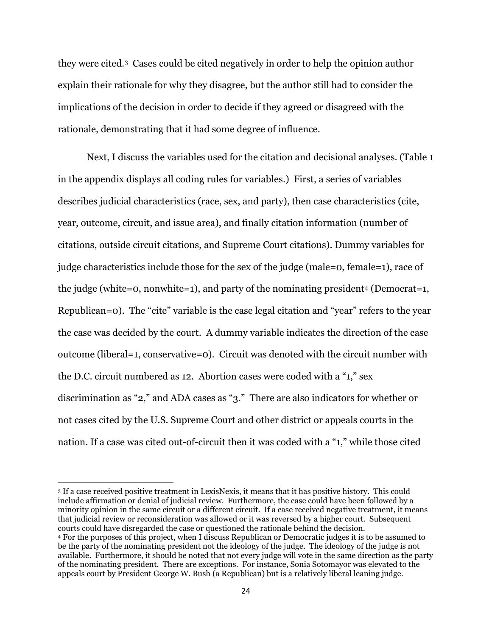they were cited.3 Cases could be cited negatively in order to help the opinion author explain their rationale for why they disagree, but the author still had to consider the implications of the decision in order to decide if they agreed or disagreed with the rationale, demonstrating that it had some degree of influence.

Next, I discuss the variables used for the citation and decisional analyses. (Table 1 in the appendix displays all coding rules for variables.) First, a series of variables describes judicial characteristics (race, sex, and party), then case characteristics (cite, year, outcome, circuit, and issue area), and finally citation information (number of citations, outside circuit citations, and Supreme Court citations). Dummy variables for judge characteristics include those for the sex of the judge (male=0, female=1), race of the judge (white=0, nonwhite=1), and party of the nominating president<sup>4</sup> (Democrat=1, Republican=0). The "cite" variable is the case legal citation and "year" refers to the year the case was decided by the court. A dummy variable indicates the direction of the case outcome (liberal=1, conservative=0). Circuit was denoted with the circuit number with the D.C. circuit numbered as 12. Abortion cases were coded with a "1," sex discrimination as "2," and ADA cases as "3." There are also indicators for whether or not cases cited by the U.S. Supreme Court and other district or appeals courts in the nation. If a case was cited out-of-circuit then it was coded with a "1," while those cited

 $\overline{\phantom{a}}$ 

<sup>3</sup> If a case received positive treatment in LexisNexis, it means that it has positive history. This could include affirmation or denial of judicial review. Furthermore, the case could have been followed by a minority opinion in the same circuit or a different circuit. If a case received negative treatment, it means that judicial review or reconsideration was allowed or it was reversed by a higher court. Subsequent courts could have disregarded the case or questioned the rationale behind the decision. <sup>4</sup> For the purposes of this project, when I discuss Republican or Democratic judges it is to be assumed to be the party of the nominating president not the ideology of the judge. The ideology of the judge is not available. Furthermore, it should be noted that not every judge will vote in the same direction as the party of the nominating president. There are exceptions. For instance, Sonia Sotomayor was elevated to the appeals court by President George W. Bush (a Republican) but is a relatively liberal leaning judge.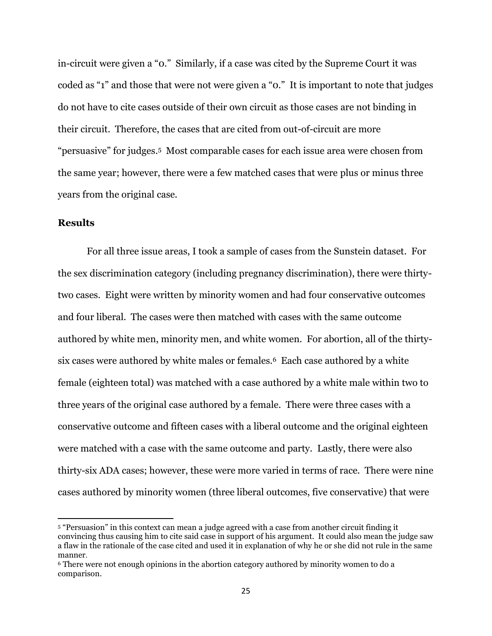in-circuit were given a "0." Similarly, if a case was cited by the Supreme Court it was coded as "1" and those that were not were given a "0." It is important to note that judges do not have to cite cases outside of their own circuit as those cases are not binding in their circuit. Therefore, the cases that are cited from out-of-circuit are more "persuasive" for judges.5 Most comparable cases for each issue area were chosen from the same year; however, there were a few matched cases that were plus or minus three years from the original case.

## **Results**

 $\overline{\phantom{a}}$ 

For all three issue areas, I took a sample of cases from the Sunstein dataset. For the sex discrimination category (including pregnancy discrimination), there were thirtytwo cases. Eight were written by minority women and had four conservative outcomes and four liberal. The cases were then matched with cases with the same outcome authored by white men, minority men, and white women. For abortion, all of the thirtysix cases were authored by white males or females.<sup>6</sup> Each case authored by a white female (eighteen total) was matched with a case authored by a white male within two to three years of the original case authored by a female. There were three cases with a conservative outcome and fifteen cases with a liberal outcome and the original eighteen were matched with a case with the same outcome and party. Lastly, there were also thirty-six ADA cases; however, these were more varied in terms of race. There were nine cases authored by minority women (three liberal outcomes, five conservative) that were

<sup>5</sup> "Persuasion" in this context can mean a judge agreed with a case from another circuit finding it convincing thus causing him to cite said case in support of his argument. It could also mean the judge saw a flaw in the rationale of the case cited and used it in explanation of why he or she did not rule in the same manner.

<sup>6</sup> There were not enough opinions in the abortion category authored by minority women to do a comparison.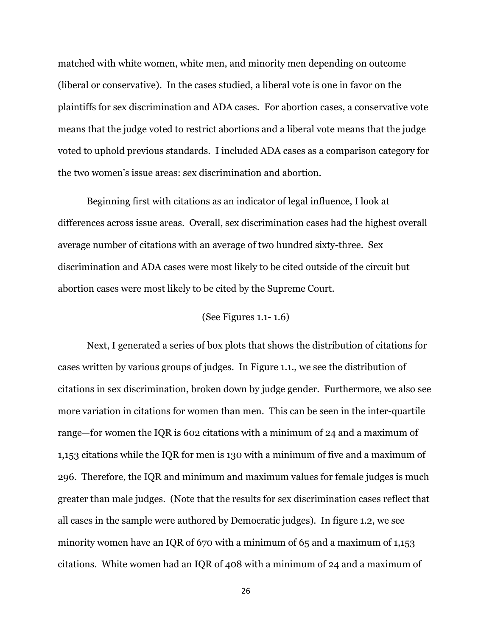matched with white women, white men, and minority men depending on outcome (liberal or conservative). In the cases studied, a liberal vote is one in favor on the plaintiffs for sex discrimination and ADA cases. For abortion cases, a conservative vote means that the judge voted to restrict abortions and a liberal vote means that the judge voted to uphold previous standards. I included ADA cases as a comparison category for the two women's issue areas: sex discrimination and abortion.

Beginning first with citations as an indicator of legal influence, I look at differences across issue areas. Overall, sex discrimination cases had the highest overall average number of citations with an average of two hundred sixty-three. Sex discrimination and ADA cases were most likely to be cited outside of the circuit but abortion cases were most likely to be cited by the Supreme Court.

#### (See Figures 1.1- 1.6)

Next, I generated a series of box plots that shows the distribution of citations for cases written by various groups of judges. In Figure 1.1., we see the distribution of citations in sex discrimination, broken down by judge gender. Furthermore, we also see more variation in citations for women than men. This can be seen in the inter-quartile range—for women the IQR is 602 citations with a minimum of 24 and a maximum of 1,153 citations while the IQR for men is 130 with a minimum of five and a maximum of 296. Therefore, the IQR and minimum and maximum values for female judges is much greater than male judges. (Note that the results for sex discrimination cases reflect that all cases in the sample were authored by Democratic judges). In figure 1.2, we see minority women have an IQR of 670 with a minimum of 65 and a maximum of 1,153 citations. White women had an IQR of 408 with a minimum of 24 and a maximum of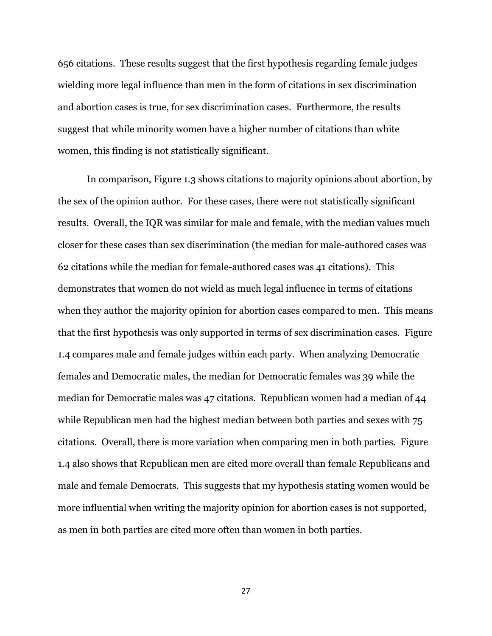656 citations. These results suggest that the first hypothesis regarding female judges wielding more legal influence than men in the form of citations in sex discrimination and abortion cases is true, for sex discrimination cases. Furthermore, the results suggest that while minority women have a higher number of citations than white women, this finding is not statistically significant.

In comparison, Figure 1.3 shows citations to majority opinions about abortion, by the sex of the opinion author. For these cases, there were not statistically significant results. Overall, the IQR was similar for male and female, with the median values much closer for these cases than sex discrimination (the median for male-authored cases was 62 citations while the median for female-authored cases was 41 citations). This demonstrates that women do not wield as much legal influence in terms of citations when they author the majority opinion for abortion cases compared to men. This means that the first hypothesis was only supported in terms of sex discrimination cases. Figure 1.4 compares male and female judges within each party. When analyzing Democratic females and Democratic males, the median for Democratic females was 39 while the median for Democratic males was 47 citations. Republican women had a median of 44 while Republican men had the highest median between both parties and sexes with 75 citations. Overall, there is more variation when comparing men in both parties. Figure 1.4 also shows that Republican men are cited more overall than female Republicans and male and female Democrats. This suggests that my hypothesis stating women would be more influential when writing the majority opinion for abortion cases is not supported, as men in both parties are cited more often than women in both parties.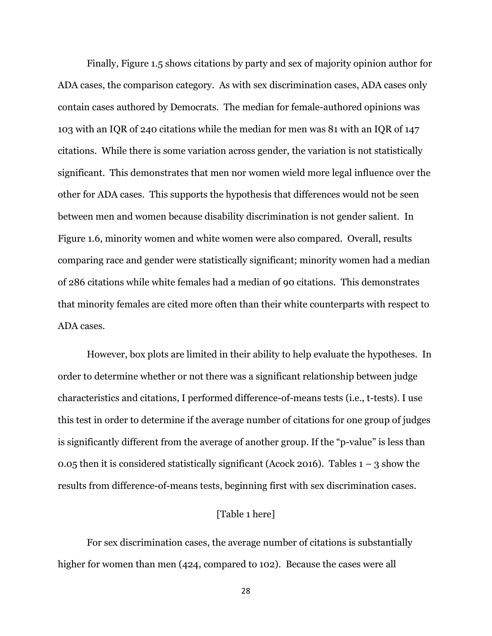Finally, Figure 1.5 shows citations by party and sex of majority opinion author for ADA cases, the comparison category. As with sex discrimination cases, ADA cases only contain cases authored by Democrats. The median for female-authored opinions was 103 with an IQR of 240 citations while the median for men was 81 with an IQR of 147 citations. While there is some variation across gender, the variation is not statistically significant. This demonstrates that men nor women wield more legal influence over the other for ADA cases. This supports the hypothesis that differences would not be seen between men and women because disability discrimination is not gender salient. In Figure 1.6, minority women and white women were also compared. Overall, results comparing race and gender were statistically significant; minority women had a median of 286 citations while white females had a median of 90 citations. This demonstrates that minority females are cited more often than their white counterparts with respect to ADA cases.

However, box plots are limited in their ability to help evaluate the hypotheses. In order to determine whether or not there was a significant relationship between judge characteristics and citations, I performed difference-of-means tests (i.e., t-tests). I use this test in order to determine if the average number of citations for one group of judges is significantly different from the average of another group. If the "p-value" is less than 0.05 then it is considered statistically significant (Acock 2016). Tables  $1 - 3$  show the results from difference-of-means tests, beginning first with sex discrimination cases.

# [Table 1 here]

For sex discrimination cases, the average number of citations is substantially higher for women than men (424, compared to 102). Because the cases were all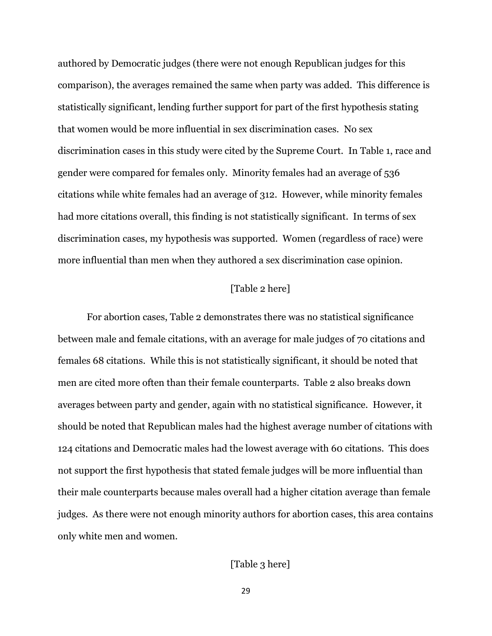authored by Democratic judges (there were not enough Republican judges for this comparison), the averages remained the same when party was added. This difference is statistically significant, lending further support for part of the first hypothesis stating that women would be more influential in sex discrimination cases. No sex discrimination cases in this study were cited by the Supreme Court. In Table 1, race and gender were compared for females only. Minority females had an average of 536 citations while white females had an average of 312. However, while minority females had more citations overall, this finding is not statistically significant. In terms of sex discrimination cases, my hypothesis was supported. Women (regardless of race) were more influential than men when they authored a sex discrimination case opinion.

# [Table 2 here]

For abortion cases, Table 2 demonstrates there was no statistical significance between male and female citations, with an average for male judges of 70 citations and females 68 citations. While this is not statistically significant, it should be noted that men are cited more often than their female counterparts. Table 2 also breaks down averages between party and gender, again with no statistical significance. However, it should be noted that Republican males had the highest average number of citations with 124 citations and Democratic males had the lowest average with 60 citations. This does not support the first hypothesis that stated female judges will be more influential than their male counterparts because males overall had a higher citation average than female judges. As there were not enough minority authors for abortion cases, this area contains only white men and women.

## [Table 3 here]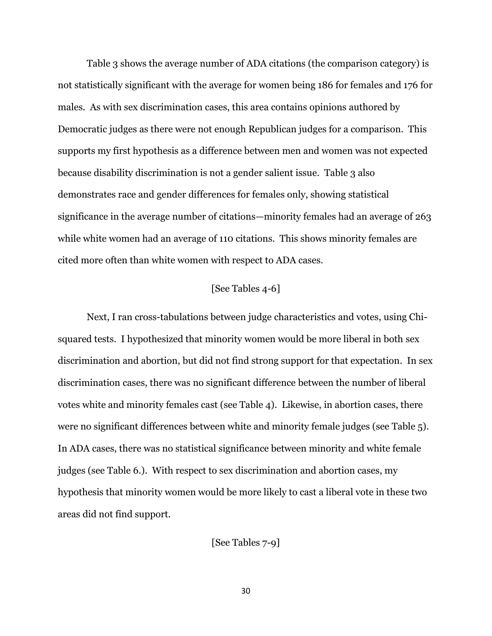Table 3 shows the average number of ADA citations (the comparison category) is not statistically significant with the average for women being 186 for females and 176 for males. As with sex discrimination cases, this area contains opinions authored by Democratic judges as there were not enough Republican judges for a comparison. This supports my first hypothesis as a difference between men and women was not expected because disability discrimination is not a gender salient issue. Table 3 also demonstrates race and gender differences for females only, showing statistical significance in the average number of citations—minority females had an average of 263 while white women had an average of 110 citations. This shows minority females are cited more often than white women with respect to ADA cases.

## [See Tables 4-6]

Next, I ran cross-tabulations between judge characteristics and votes, using Chisquared tests. I hypothesized that minority women would be more liberal in both sex discrimination and abortion, but did not find strong support for that expectation. In sex discrimination cases, there was no significant difference between the number of liberal votes white and minority females cast (see Table 4). Likewise, in abortion cases, there were no significant differences between white and minority female judges (see Table 5). In ADA cases, there was no statistical significance between minority and white female judges (see Table 6.). With respect to sex discrimination and abortion cases, my hypothesis that minority women would be more likely to cast a liberal vote in these two areas did not find support.

[See Tables 7-9]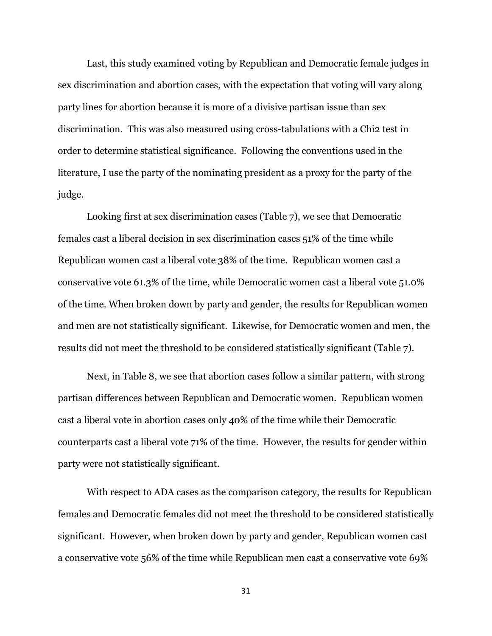Last, this study examined voting by Republican and Democratic female judges in sex discrimination and abortion cases, with the expectation that voting will vary along party lines for abortion because it is more of a divisive partisan issue than sex discrimination. This was also measured using cross-tabulations with a Chi2 test in order to determine statistical significance. Following the conventions used in the literature, I use the party of the nominating president as a proxy for the party of the judge.

Looking first at sex discrimination cases (Table 7), we see that Democratic females cast a liberal decision in sex discrimination cases 51% of the time while Republican women cast a liberal vote 38% of the time. Republican women cast a conservative vote 61.3% of the time, while Democratic women cast a liberal vote 51.0% of the time. When broken down by party and gender, the results for Republican women and men are not statistically significant. Likewise, for Democratic women and men, the results did not meet the threshold to be considered statistically significant (Table 7).

Next, in Table 8, we see that abortion cases follow a similar pattern, with strong partisan differences between Republican and Democratic women. Republican women cast a liberal vote in abortion cases only 40% of the time while their Democratic counterparts cast a liberal vote 71% of the time. However, the results for gender within party were not statistically significant.

With respect to ADA cases as the comparison category, the results for Republican females and Democratic females did not meet the threshold to be considered statistically significant. However, when broken down by party and gender, Republican women cast a conservative vote 56% of the time while Republican men cast a conservative vote 69%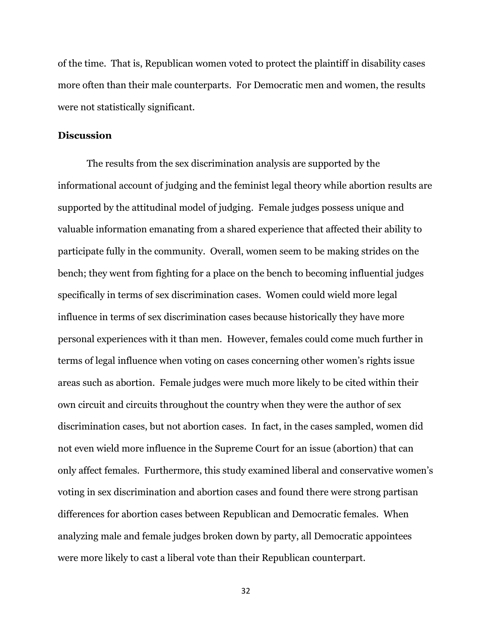of the time. That is, Republican women voted to protect the plaintiff in disability cases more often than their male counterparts. For Democratic men and women, the results were not statistically significant.

### **Discussion**

The results from the sex discrimination analysis are supported by the informational account of judging and the feminist legal theory while abortion results are supported by the attitudinal model of judging. Female judges possess unique and valuable information emanating from a shared experience that affected their ability to participate fully in the community. Overall, women seem to be making strides on the bench; they went from fighting for a place on the bench to becoming influential judges specifically in terms of sex discrimination cases. Women could wield more legal influence in terms of sex discrimination cases because historically they have more personal experiences with it than men. However, females could come much further in terms of legal influence when voting on cases concerning other women's rights issue areas such as abortion. Female judges were much more likely to be cited within their own circuit and circuits throughout the country when they were the author of sex discrimination cases, but not abortion cases. In fact, in the cases sampled, women did not even wield more influence in the Supreme Court for an issue (abortion) that can only affect females. Furthermore, this study examined liberal and conservative women's voting in sex discrimination and abortion cases and found there were strong partisan differences for abortion cases between Republican and Democratic females. When analyzing male and female judges broken down by party, all Democratic appointees were more likely to cast a liberal vote than their Republican counterpart.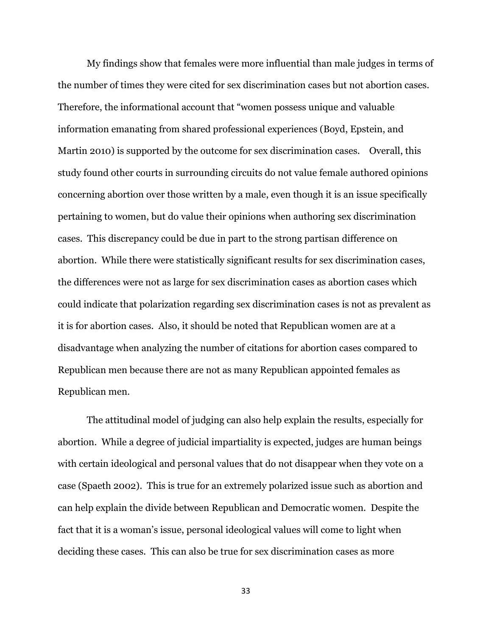My findings show that females were more influential than male judges in terms of the number of times they were cited for sex discrimination cases but not abortion cases. Therefore, the informational account that "women possess unique and valuable information emanating from shared professional experiences (Boyd, Epstein, and Martin 2010) is supported by the outcome for sex discrimination cases. Overall, this study found other courts in surrounding circuits do not value female authored opinions concerning abortion over those written by a male, even though it is an issue specifically pertaining to women, but do value their opinions when authoring sex discrimination cases. This discrepancy could be due in part to the strong partisan difference on abortion. While there were statistically significant results for sex discrimination cases, the differences were not as large for sex discrimination cases as abortion cases which could indicate that polarization regarding sex discrimination cases is not as prevalent as it is for abortion cases. Also, it should be noted that Republican women are at a disadvantage when analyzing the number of citations for abortion cases compared to Republican men because there are not as many Republican appointed females as Republican men.

The attitudinal model of judging can also help explain the results, especially for abortion. While a degree of judicial impartiality is expected, judges are human beings with certain ideological and personal values that do not disappear when they vote on a case (Spaeth 2002). This is true for an extremely polarized issue such as abortion and can help explain the divide between Republican and Democratic women. Despite the fact that it is a woman's issue, personal ideological values will come to light when deciding these cases. This can also be true for sex discrimination cases as more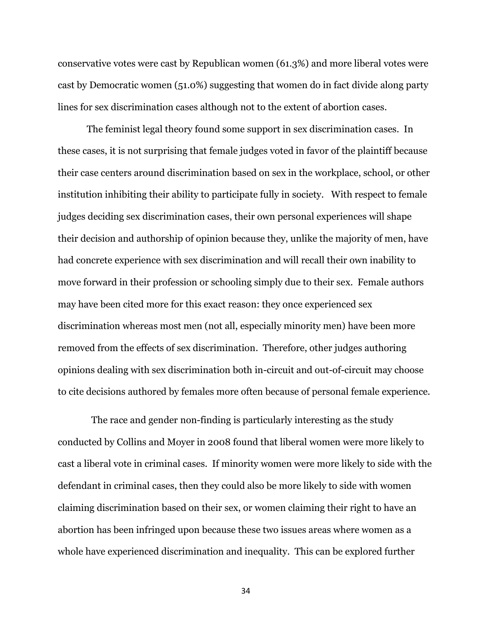conservative votes were cast by Republican women (61.3%) and more liberal votes were cast by Democratic women (51.0%) suggesting that women do in fact divide along party lines for sex discrimination cases although not to the extent of abortion cases.

The feminist legal theory found some support in sex discrimination cases. In these cases, it is not surprising that female judges voted in favor of the plaintiff because their case centers around discrimination based on sex in the workplace, school, or other institution inhibiting their ability to participate fully in society. With respect to female judges deciding sex discrimination cases, their own personal experiences will shape their decision and authorship of opinion because they, unlike the majority of men, have had concrete experience with sex discrimination and will recall their own inability to move forward in their profession or schooling simply due to their sex. Female authors may have been cited more for this exact reason: they once experienced sex discrimination whereas most men (not all, especially minority men) have been more removed from the effects of sex discrimination. Therefore, other judges authoring opinions dealing with sex discrimination both in-circuit and out-of-circuit may choose to cite decisions authored by females more often because of personal female experience.

 The race and gender non-finding is particularly interesting as the study conducted by Collins and Moyer in 2008 found that liberal women were more likely to cast a liberal vote in criminal cases. If minority women were more likely to side with the defendant in criminal cases, then they could also be more likely to side with women claiming discrimination based on their sex, or women claiming their right to have an abortion has been infringed upon because these two issues areas where women as a whole have experienced discrimination and inequality. This can be explored further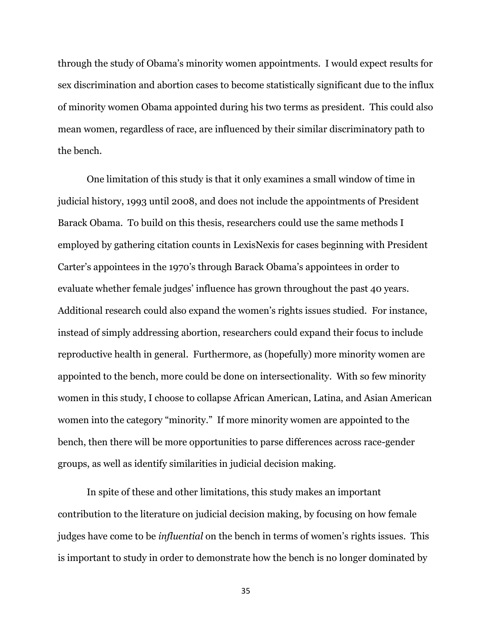through the study of Obama's minority women appointments. I would expect results for sex discrimination and abortion cases to become statistically significant due to the influx of minority women Obama appointed during his two terms as president. This could also mean women, regardless of race, are influenced by their similar discriminatory path to the bench.

One limitation of this study is that it only examines a small window of time in judicial history, 1993 until 2008, and does not include the appointments of President Barack Obama. To build on this thesis, researchers could use the same methods I employed by gathering citation counts in LexisNexis for cases beginning with President Carter's appointees in the 1970's through Barack Obama's appointees in order to evaluate whether female judges' influence has grown throughout the past 40 years. Additional research could also expand the women's rights issues studied. For instance, instead of simply addressing abortion, researchers could expand their focus to include reproductive health in general. Furthermore, as (hopefully) more minority women are appointed to the bench, more could be done on intersectionality. With so few minority women in this study, I choose to collapse African American, Latina, and Asian American women into the category "minority." If more minority women are appointed to the bench, then there will be more opportunities to parse differences across race-gender groups, as well as identify similarities in judicial decision making.

In spite of these and other limitations, this study makes an important contribution to the literature on judicial decision making, by focusing on how female judges have come to be *influential* on the bench in terms of women's rights issues. This is important to study in order to demonstrate how the bench is no longer dominated by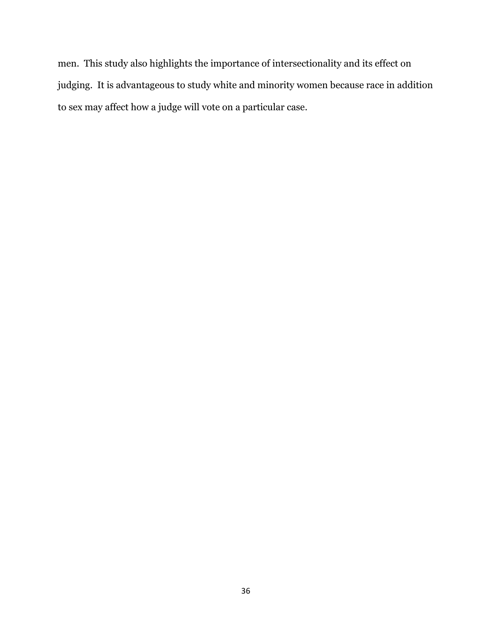men. This study also highlights the importance of intersectionality and its effect on judging. It is advantageous to study white and minority women because race in addition to sex may affect how a judge will vote on a particular case.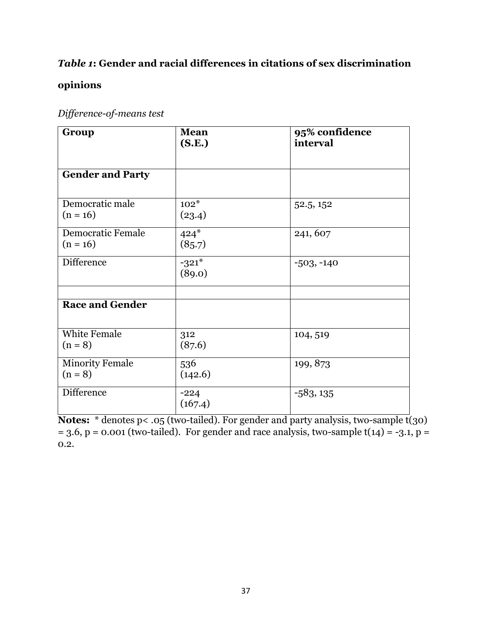# *Table 1***: Gender and racial differences in citations of sex discrimination**

# **opinions**

| Difference-of-means test |
|--------------------------|
|                          |

| Group                                  | <b>Mean</b><br>(S.E.) | 95% confidence<br>interval |
|----------------------------------------|-----------------------|----------------------------|
|                                        |                       |                            |
| <b>Gender and Party</b>                |                       |                            |
| Democratic male<br>$(n = 16)$          | $102*$<br>(23.4)      | 52.5, 152                  |
| <b>Democratic Female</b><br>$(n = 16)$ | $424*$<br>(85.7)      | 241, 607                   |
| <b>Difference</b>                      | $-321*$<br>(89.0)     | $-503, -140$               |
|                                        |                       |                            |
| <b>Race and Gender</b>                 |                       |                            |
| <b>White Female</b><br>$(n = 8)$       | 312<br>(87.6)         | 104, 519                   |
| <b>Minority Female</b><br>$(n = 8)$    | 536<br>(142.6)        | 199, 873                   |
| <b>Difference</b>                      | $-224$<br>(167.4)     | $-583, 135$                |

**Notes:** \* denotes p< .05 (two-tailed). For gender and party analysis, two-sample t(30)  $= 3.6$ , p = 0.001 (two-tailed). For gender and race analysis, two-sample t(14) = -3.1, p = 0.2.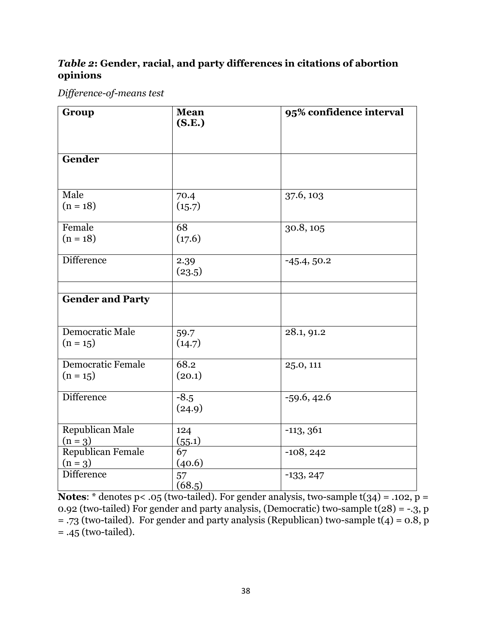# *Table 2***: Gender, racial, and party differences in citations of abortion opinions**

*Difference-of-means test*

| Group                                  | <b>Mean</b><br>(S.E.) | 95% confidence interval |
|----------------------------------------|-----------------------|-------------------------|
| Gender                                 |                       |                         |
| Male<br>$(n = 18)$                     | 70.4<br>(15.7)        | 37.6, 103               |
| Female<br>$(n = 18)$                   | 68<br>(17.6)          | 30.8, 105               |
| <b>Difference</b>                      | 2.39<br>(23.5)        | $-45.4, 50.2$           |
| <b>Gender and Party</b>                |                       |                         |
| Democratic Male<br>$(n = 15)$          | 59.7<br>(14.7)        | 28.1, 91.2              |
| <b>Democratic Female</b><br>$(n = 15)$ | 68.2<br>(20.1)        | 25.0, 111               |
| <b>Difference</b>                      | $-8.5$<br>(24.9)      | $-59.6, 42.6$           |
| Republican Male<br>$(n = 3)$           | 124<br>(55.1)         | $-113, 361$             |
| Republican Female<br>$(n = 3)$         | 67<br>(40.6)          | $-108, 242$             |
| Difference                             | 57<br>(68.5)          | $-133, 247$             |

**Notes:**  $*$  denotes p< .05 (two-tailed). For gender analysis, two-sample  $t(34) = .102$ , p = 0.92 (two-tailed) For gender and party analysis, (Democratic) two-sample  $t(28) = -.3$ , p = .73 (two-tailed). For gender and party analysis (Republican) two-sample  $t(4) = 0.8$ , p = .45 (two-tailed).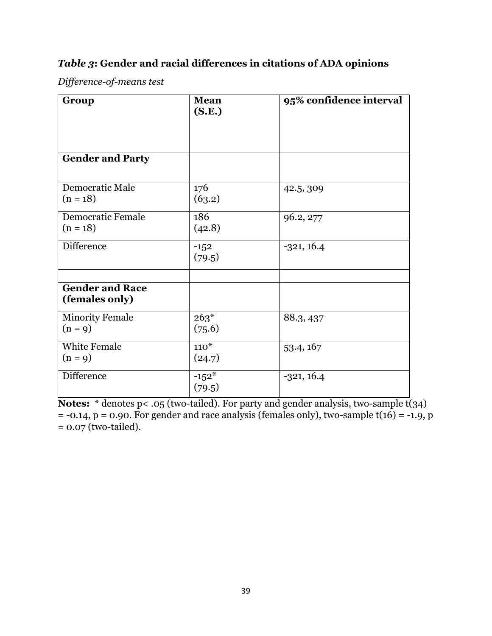# *Table 3***: Gender and racial differences in citations of ADA opinions**

*Difference-of-means test*

| Group                                    | <b>Mean</b><br>(S.E.) | 95% confidence interval |
|------------------------------------------|-----------------------|-------------------------|
| <b>Gender and Party</b>                  |                       |                         |
| Democratic Male<br>$(n = 18)$            | 176<br>(63.2)         | 42.5, 309               |
| <b>Democratic Female</b><br>$(n = 18)$   | 186<br>(42.8)         | 96.2, 277               |
| <b>Difference</b>                        | $-152$<br>(79.5)      | $-321, 16.4$            |
| <b>Gender and Race</b><br>(females only) |                       |                         |
| <b>Minority Female</b><br>$(n = 9)$      | $263*$<br>(75.6)      | 88.3, 437               |
| <b>White Female</b><br>$(n = 9)$         | $110*$<br>(24.7)      | 53.4, 167               |
| Difference                               | $-152*$<br>(79.5)     | $-321, 16.4$            |

**Notes:** \* denotes p< .05 (two-tailed). For party and gender analysis, two-sample t(34)  $= -0.14$ ,  $p = 0.90$ . For gender and race analysis (females only), two-sample t(16) = -1.9, p  $= 0.07$  (two-tailed).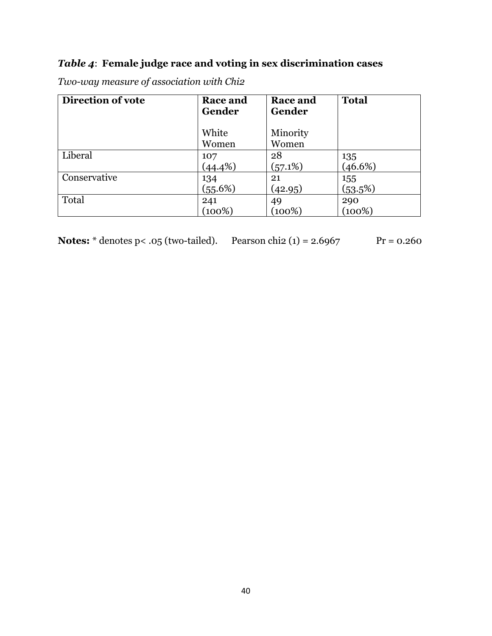# *Table 4*: **Female judge race and voting in sex discrimination cases**

| Direction of vote | <b>Race and</b><br>Gender | Race and<br>Gender | <b>Total</b> |
|-------------------|---------------------------|--------------------|--------------|
|                   | White<br>Women            | Minority<br>Women  |              |
| Liberal           | 107                       | 28                 | 135          |
|                   | (44.4%)                   | (57.1%)            | (46.6%)      |
| Conservative      | 134                       | 21                 | 155          |
|                   | (55.6%)                   | (42.95)            | (53.5%)      |
| Total             | 241                       | 49                 | 290          |
|                   | (100%)                    | (100%)             | (100%)       |

*Two-way measure of association with Chi2*

 $Pr = 0.260$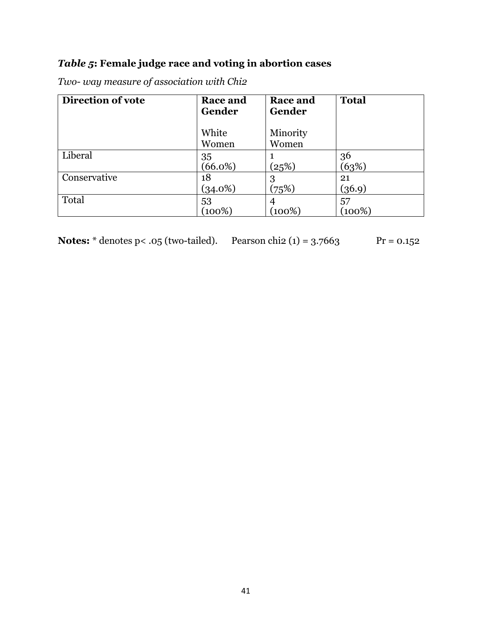# *Table 5***: Female judge race and voting in abortion cases**

| Direction of vote | <b>Race and</b><br>Gender | <b>Race and</b><br>Gender | <b>Total</b> |
|-------------------|---------------------------|---------------------------|--------------|
|                   | White<br>Women            | Minority<br>Women         |              |
| Liberal           | 35<br>$(66.0\%)$          | (25%)                     | 36<br>(63%)  |
| Conservative      | 18<br>$(34.0\%)$          | 3<br>(75%)                | 21<br>(36.9) |
| Total             | 53<br>(100%)              | 4<br>(100%)               | 57<br>(100%) |

*Two- way measure of association with Chi2*

| <b>Notes:</b> $*$ denotes p< .05 (two-tailed). Pearson chi2 (1) = 3.7663 |  |
|--------------------------------------------------------------------------|--|
|--------------------------------------------------------------------------|--|

 $\Pr = 0.152$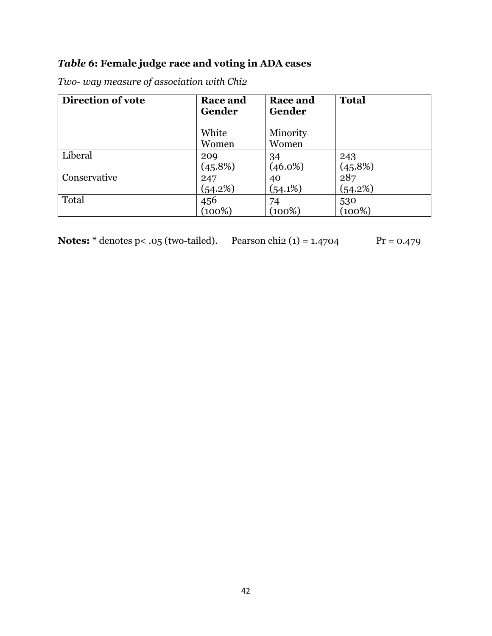# *Table 6***: Female judge race and voting in ADA cases**

| Two- way measure of association with Chi2 |  |
|-------------------------------------------|--|
|-------------------------------------------|--|

| Direction of vote | <b>Race and</b><br>Gender | Race and<br>Gender | <b>Total</b> |
|-------------------|---------------------------|--------------------|--------------|
|                   | White<br>Women            | Minority<br>Women  |              |
| Liberal           | 209                       | 34                 | 243          |
|                   | (45.8%)                   | $(46.0\%)$         | (45.8%)      |
| Conservative      | 247                       | 40                 | 287          |
|                   | (54.2%)                   | $(54.1\%)$         | (54.2%)      |
| Total             | 456                       | 74                 | 530          |
|                   | (100%)                    | (100%)             | $(100\%)$    |

| <b>Notes:</b> $*$ denotes $p < .05$ (two-tailed). | Pearson chi2 $(1) = 1.4$ |
|---------------------------------------------------|--------------------------|
|---------------------------------------------------|--------------------------|

**Aos Pr** = 0.479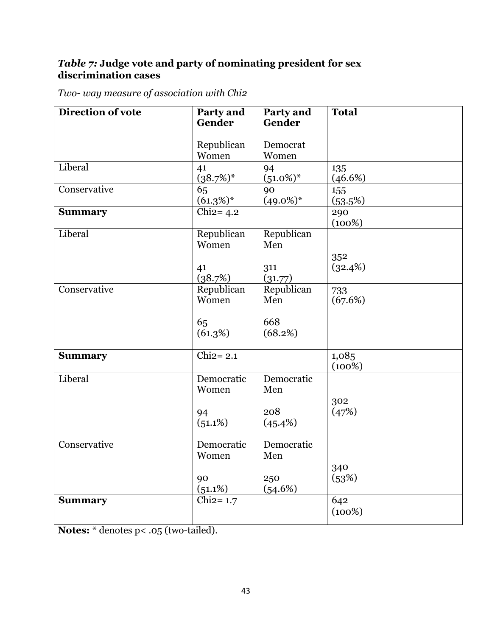# *Table 7:* **Judge vote and party of nominating president for sex discrimination cases**

| Two- way measure of association with Chi2 |  |
|-------------------------------------------|--|
|-------------------------------------------|--|

| Direction of vote | Party and<br>Gender                     | Party and<br>Gender                 | <b>Total</b>    |
|-------------------|-----------------------------------------|-------------------------------------|-----------------|
|                   | Republican<br>Women                     | Democrat<br>Women                   |                 |
| Liberal           | 41<br>$(38.7\%)^*$                      | 94<br>$(51.0\%)*$                   | 135<br>(46.6%)  |
| Conservative      | 65<br>$(61.3\%)^*$                      | 90<br>$(49.0\%)^*$                  | 155<br>(53.5%)  |
| <b>Summary</b>    | Chi $2=4.2$                             |                                     | 290<br>(100%)   |
| Liberal           | Republican<br>Women<br>41<br>(38.7%)    | Republican<br>Men<br>311<br>(31.77) | 352<br>(32.4%)  |
| Conservative      | Republican<br>Women<br>65<br>(61.3%)    | Republican<br>Men<br>668<br>(68.2%) | 733<br>(67.6%)  |
| <b>Summary</b>    | $\overline{\text{Chi2}=2.1}$            |                                     | 1,085<br>(100%) |
| Liberal           | Democratic<br>Women<br>94<br>$(51.1\%)$ | Democratic<br>Men<br>208<br>(45.4%) | 302<br>(47%)    |
| Conservative      | Democratic<br>Women<br>90<br>(51.1%)    | Democratic<br>Men<br>250<br>(54.6%) | 340<br>(53%)    |
| <b>Summary</b>    | Chi $2=1.7$                             |                                     | 642<br>(100%)   |

**Notes:** \* denotes p< .05 (two-tailed).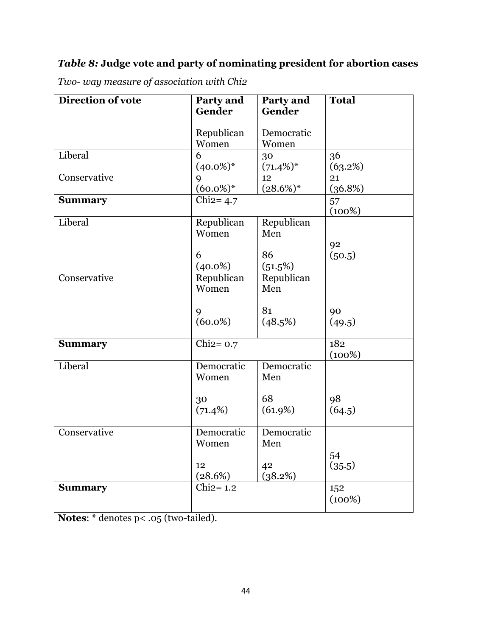# *Table 8:* **Judge vote and party of nominating president for abortion cases**

| Direction of vote            | Party and<br>Gender | Party and<br>Gender | <b>Total</b> |
|------------------------------|---------------------|---------------------|--------------|
|                              |                     |                     |              |
|                              | Republican          | Democratic          |              |
|                              | Women               | Women               |              |
| Liberal                      | 6                   | 30                  | 36           |
|                              | $(40.0\%)^*$        | $(71.4\%)*$         | (63.2%)      |
| Conservative                 | 9                   | 12                  | 21           |
|                              | $(60.0\%)*$         | $(28.6\%)$ *        | (36.8%)      |
| <b>Summary</b>               | Chi $2=4.7$         |                     | 57<br>(100%) |
| Liberal                      | Republican          | Republican          |              |
|                              | Women               | Men                 |              |
|                              |                     |                     | 92           |
|                              | 6                   | 86                  | (50.5)       |
|                              | $(40.0\%)$          | (51.5%)             |              |
| Conservative                 | Republican          | Republican          |              |
|                              | Women               | Men                 |              |
|                              | 9                   | 81                  | 90           |
|                              | $(60.0\%)$          | (48.5%)             | (49.5)       |
|                              |                     |                     |              |
| <b>Summary</b>               | Chi $2=0.7$         |                     | 182          |
|                              |                     |                     | (100%)       |
| Liberal                      | Democratic          | Democratic          |              |
|                              | Women               | Men                 |              |
|                              |                     | 68                  | 98           |
|                              | 30<br>$(71.4\%)$    | (61.9%)             | (64.5)       |
|                              |                     |                     |              |
| Conservative                 | Democratic          | Democratic          |              |
|                              | Women               | Men                 |              |
|                              |                     |                     | 54           |
|                              | 12                  | 42                  | (35.5)       |
|                              | (28.6%)             | (38.2%)             |              |
| $Chi2=1.2$<br><b>Summary</b> |                     | 152                 |              |
|                              |                     |                     | (100%)       |
|                              |                     |                     |              |

*Two- way measure of association with Chi2*

**Notes**: \* denotes p< .05 (two-tailed).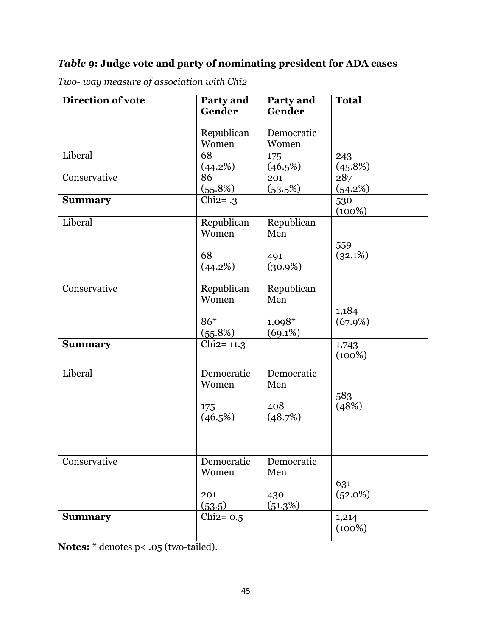# *Table 9***: Judge vote and party of nominating president for ADA cases**

| Direction of vote | Party and     | Party and  | <b>Total</b>   |
|-------------------|---------------|------------|----------------|
|                   | Gender        | Gender     |                |
|                   | Republican    | Democratic |                |
|                   | Women         | Women      |                |
| Liberal           | 68            | 175        | 243            |
|                   | $(44.2\%)$    | (46.5%)    | <u>(45.8%)</u> |
| Conservative      | 86            | 201        | 287            |
|                   | (55.8%)       | (53.5%)    | (54.2%)        |
| <b>Summary</b>    | Chi $2 = .3$  |            | 530<br>(100%)  |
| Liberal           | Republican    | Republican |                |
|                   | Women         | Men        |                |
|                   |               |            | 559            |
|                   | 68            | 491        | (32.1%)        |
|                   | (44.2%)       | $(30.9\%)$ |                |
|                   |               |            |                |
| Conservative      | Republican    | Republican |                |
|                   | Women         | Men        |                |
|                   |               |            | 1,184          |
|                   | 86*           | $1,098*$   | (67.9%)        |
|                   | (55.8%)       | (69.1%)    |                |
| <b>Summary</b>    | $Chi2 = 11.3$ |            | 1,743          |
|                   |               |            | (100%)         |
| Liberal           | Democratic    | Democratic |                |
|                   | Women         | Men        |                |
|                   |               |            | 583            |
|                   | 175           | 408        | (48%)          |
|                   | (46.5%)       | (48.7%)    |                |
|                   |               |            |                |
|                   |               |            |                |
| Conservative      | Democratic    | Democratic |                |
|                   | Women         | Men        |                |
|                   |               |            | 631            |
|                   | 201           | 430        | (52.0%)        |
|                   | (53.5)        | (51.3%)    |                |
| <b>Summary</b>    | Chi $2=0.5$   |            | 1,214          |
|                   |               |            | (100%)         |
|                   |               |            |                |

*Two- way measure of association with Chi2*

**Notes:** \* denotes p< .05 (two-tailed).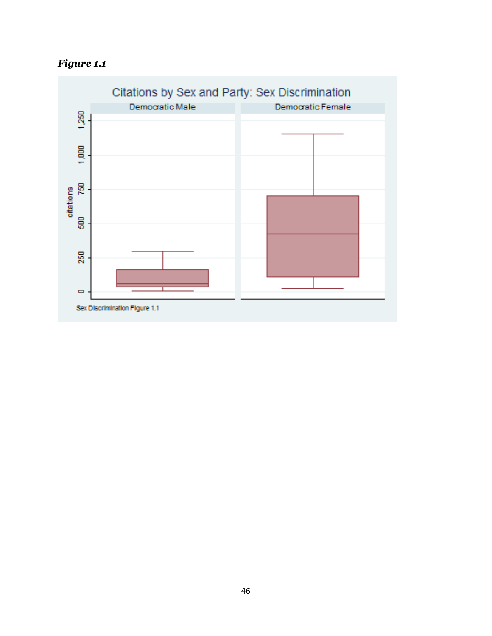*Figure 1.1*

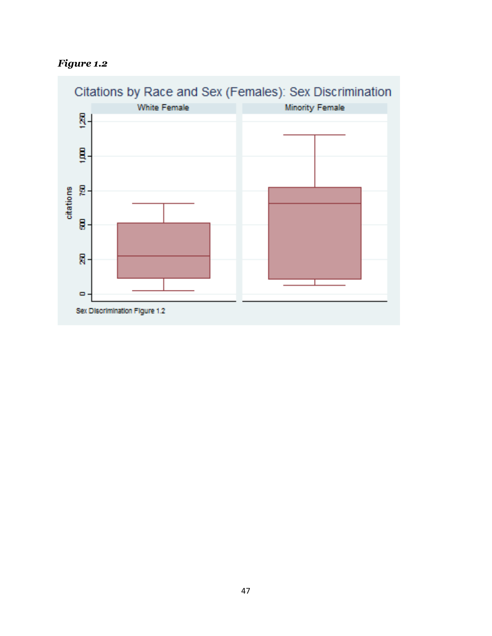

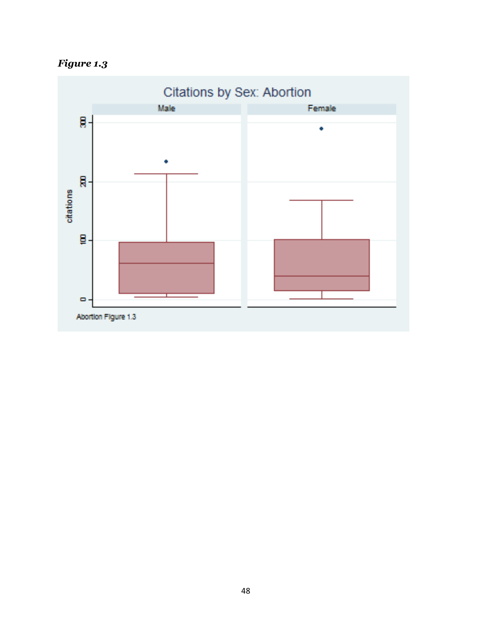![](_page_48_Figure_0.jpeg)

![](_page_48_Figure_1.jpeg)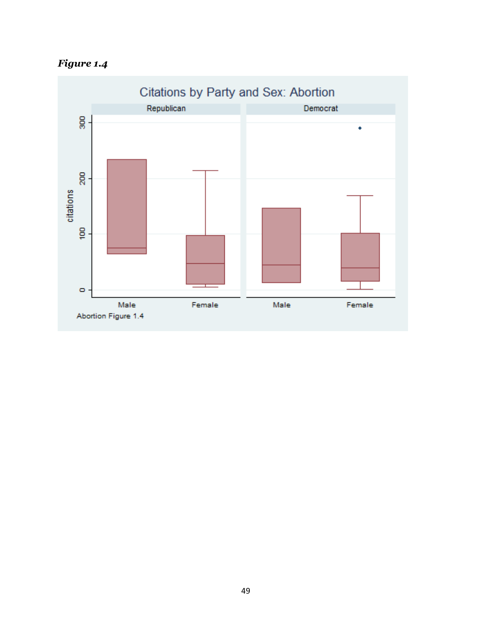![](_page_49_Figure_0.jpeg)

![](_page_49_Figure_1.jpeg)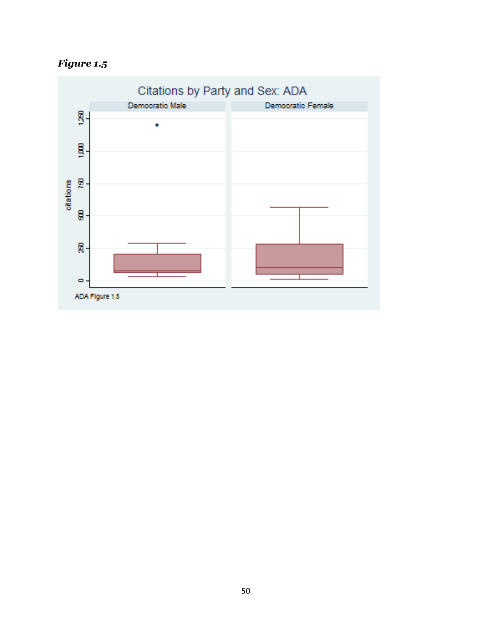![](_page_50_Figure_0.jpeg)

![](_page_50_Figure_1.jpeg)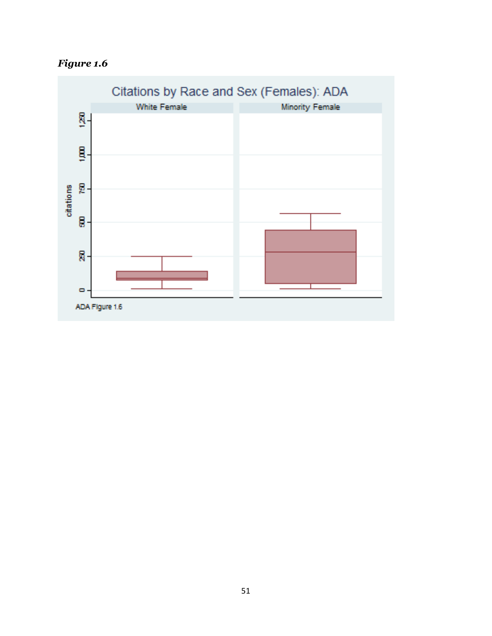*Figure 1.6*

![](_page_51_Figure_1.jpeg)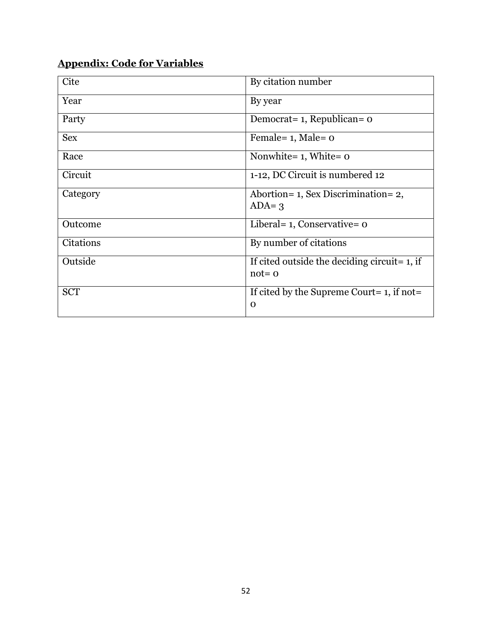# **Appendix: Code for Variables**

| Cite       | By citation number                                            |
|------------|---------------------------------------------------------------|
| Year       | By year                                                       |
| Party      | Democrat = 1, Republican = 0                                  |
| <b>Sex</b> | Female = $1$ , Male = $0$                                     |
| Race       | Nonwhite= $1$ , White= $o$                                    |
| Circuit    | 1-12, DC Circuit is numbered 12                               |
| Category   | Abortion= 1, Sex Discrimination= 2,<br>$ADA = 3$              |
| Outcome    | Liberal = $1$ , Conservative = $0$                            |
| Citations  | By number of citations                                        |
| Outside    | If cited outside the deciding circuit = $1$ , if<br>$not = o$ |
| <b>SCT</b> | If cited by the Supreme Court= $1$ , if not=<br>$\Omega$      |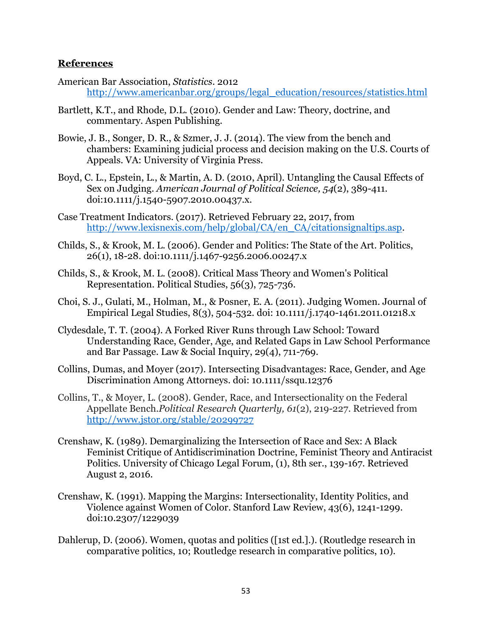## **References**

- American Bar Association, *Statistics*. 2012 [http://www.americanbar.org/groups/legal\\_education/resources/statistics.html](http://www.americanbar.org/groups/legal_education/resources/statistics.html)
- Bartlett, K.T., and Rhode, D.L. (2010). Gender and Law: Theory, doctrine, and commentary. Aspen Publishing.
- Bowie, J. B., Songer, D. R., & Szmer, J. J. (2014). The view from the bench and chambers: Examining judicial process and decision making on the U.S. Courts of Appeals. VA: University of Virginia Press.
- Boyd, C. L., Epstein, L., & Martin, A. D. (2010, April). Untangling the Causal Effects of Sex on Judging. *American Journal of Political Science, 54*(2), 389-411. doi:10.1111/j.1540-5907.2010.00437.x.
- Case Treatment Indicators. (2017). Retrieved February 22, 2017, from [http://www.lexisnexis.com/help/global/CA/en\\_CA/citationsignaltips.asp.](http://www.lexisnexis.com/help/global/CA/en_CA/citationsignaltips.asp)
- Childs, S., & Krook, M. L. (2006). Gender and Politics: The State of the Art. Politics, 26(1), 18-28. doi:10.1111/j.1467-9256.2006.00247.x
- Childs, S., & Krook, M. L. (2008). Critical Mass Theory and Women's Political Representation. Political Studies, 56(3), 725-736.
- Choi, S. J., Gulati, M., Holman, M., & Posner, E. A. (2011). Judging Women. Journal of Empirical Legal Studies, 8(3), 504-532. doi: 10.1111/j.1740-1461.2011.01218.x
- Clydesdale, T. T. (2004). A Forked River Runs through Law School: Toward Understanding Race, Gender, Age, and Related Gaps in Law School Performance and Bar Passage. Law & Social Inquiry, 29(4), 711-769.
- Collins, Dumas, and Moyer (2017). Intersecting Disadvantages: Race, Gender, and Age Discrimination Among Attorneys. doi: 10.1111/ssqu.12376
- Collins, T., & Moyer, L. (2008). Gender, Race, and Intersectionality on the Federal Appellate Bench.*Political Research Quarterly, 61*(2), 219-227. Retrieved from <http://www.jstor.org/stable/20299727>
- Crenshaw, K. (1989). Demarginalizing the Intersection of Race and Sex: A Black Feminist Critique of Antidiscrimination Doctrine, Feminist Theory and Antiracist Politics. University of Chicago Legal Forum, (1), 8th ser., 139-167. Retrieved August 2, 2016.
- Crenshaw, K. (1991). Mapping the Margins: Intersectionality, Identity Politics, and Violence against Women of Color. Stanford Law Review, 43(6), 1241-1299. doi:10.2307/1229039
- Dahlerup, D. (2006). Women, quotas and politics ([1st ed.].). (Routledge research in comparative politics, 10; Routledge research in comparative politics, 10).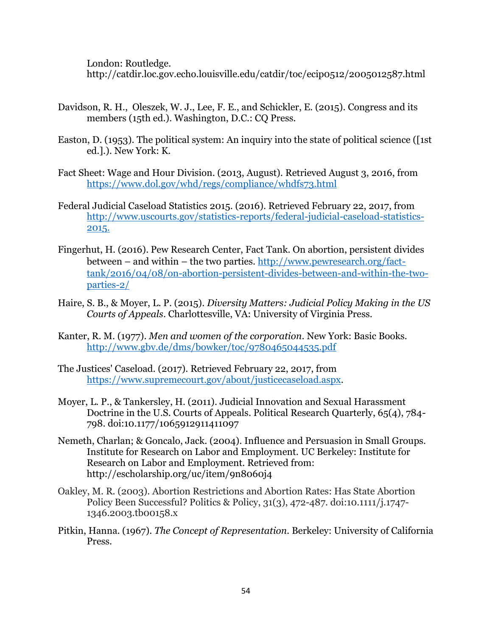London: Routledge.

http://catdir.loc.gov.echo.louisville.edu/catdir/toc/ecip0512/2005012587.html

- Davidson, R. H., Oleszek, W. J., Lee, F. E., and Schickler, E. (2015). Congress and its members (15th ed.). Washington, D.C.: CQ Press.
- Easton, D. (1953). The political system: An inquiry into the state of political science ([1st ed.].). New York: K.
- Fact Sheet: Wage and Hour Division. (2013, August). Retrieved August 3, 2016, from <https://www.dol.gov/whd/regs/compliance/whdfs73.html>
- Federal Judicial Caseload Statistics 2015. (2016). Retrieved February 22, 2017, from http://www.uscourts.gov/statistics-reports/federal-judicial-caseload-statistics-2015.
- Fingerhut, H. (2016). Pew Research Center, Fact Tank. On abortion, persistent divides between – and within – the two parties. [http://www.pewresearch.org/fact](http://www.pewresearch.org/fact-tank/2016/04/08/on-abortion-persistent-divides-between-and-within-the-two-parties-2/)[tank/2016/04/08/on-abortion-persistent-divides-between-and-within-the-two](http://www.pewresearch.org/fact-tank/2016/04/08/on-abortion-persistent-divides-between-and-within-the-two-parties-2/)[parties-2/](http://www.pewresearch.org/fact-tank/2016/04/08/on-abortion-persistent-divides-between-and-within-the-two-parties-2/)
- Haire, S. B., & Moyer, L. P. (2015). *Diversity Matters: Judicial Policy Making in the US Courts of Appeals*. Charlottesville, VA: University of Virginia Press.
- Kanter, R. M. (1977). *Men and women of the corporation*. New York: Basic Books. <http://www.gbv.de/dms/bowker/toc/9780465044535.pdf>
- The Justices' Caseload. (2017). Retrieved February 22, 2017, from [https://www.supremecourt.gov/about/justicecaseload.aspx.](https://www.supremecourt.gov/about/justicecaseload.aspx)
- Moyer, L. P., & Tankersley, H. (2011). Judicial Innovation and Sexual Harassment Doctrine in the U.S. Courts of Appeals. Political Research Quarterly, 65(4), 784- 798. doi:10.1177/1065912911411097
- Nemeth, Charlan; & Goncalo, Jack. (2004). Influence and Persuasion in Small Groups. Institute for Research on Labor and Employment. UC Berkeley: Institute for Research on Labor and Employment. Retrieved from: http://escholarship.org/uc/item/9n8060j4
- Oakley, M. R. (2003). Abortion Restrictions and Abortion Rates: Has State Abortion Policy Been Successful? Politics & Policy, 31(3), 472-487. doi:10.1111/j.1747- 1346.2003.tb00158.x
- Pitkin, Hanna. (1967). *The Concept of Representation.* Berkeley: University of California Press.